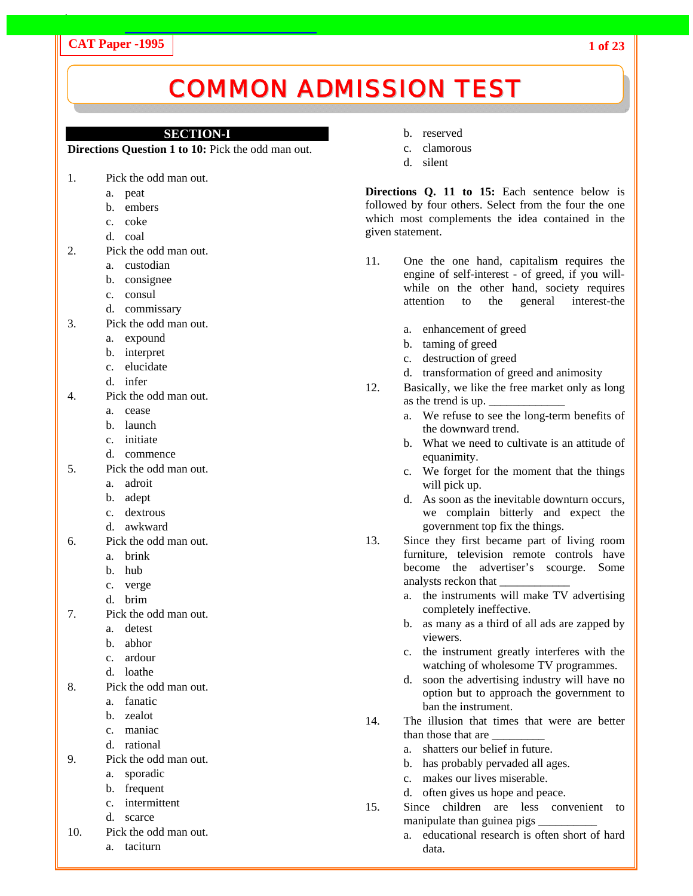# **CAT Paper -1995**

# COMMON ADMISSION TEST

## **SECTION-I**

**Directions Question 1 to 10:** Pick the odd man out.

- 1. Pick the odd man out.
	- a. peat
	- b. embers
	- c. coke
	- d. coal
- 2. Pick the odd man out.
	- a. custodian
	- b. consignee
	- c. consul
	- d. commissary
- 3. Pick the odd man out.
	- a. expound
	- b. interpret
	- c. elucidate
	- d. infer
- 4. Pick the odd man out.
	- a. cease
	- b. launch
	- c. initiate
	- d. commence
- 5. Pick the odd man out.
	- a. adroit
	- b. adept
	- c. dextrous
	- d. awkward
- 6. Pick the odd man out.
	- a. brink
	- b. hub
	- c. verge
	- d. brim
- 7. Pick the odd man out.
	- a. detest
	- b. abhor
	- c. ardour
	- d. loathe
- 8. Pick the odd man out.
	- a. fanatic
	- b. zealot
	- c. maniac
	- d. rational
- 9. Pick the odd man out.
	- a. sporadic
	- b. frequent
	- c. intermittent
	- d. scarce
- 10. Pick the odd man out.
	- a. taciturn
- b. reserved
- c. clamorous
- d. silent

**Directions Q. 11 to 15:** Each sentence below is followed by four others. Select from the four the one which most complements the idea contained in the given statement.

- 11. One the one hand, capitalism requires the engine of self-interest - of greed, if you willwhile on the other hand, society requires attention to the general interest-the
	- a. enhancement of greed
	- b. taming of greed
	- c. destruction of greed
	- d. transformation of greed and animosity
- 12. Basically, we like the free market only as long as the trend is up.
	- a. We refuse to see the long-term benefits of the downward trend.
	- b. What we need to cultivate is an attitude of equanimity.
	- c. We forget for the moment that the things will pick up.
	- d. As soon as the inevitable downturn occurs, we complain bitterly and expect the government top fix the things.
- 13. Since they first became part of living room furniture, television remote controls have become the advertiser's scourge. Some analysts reckon that \_\_\_\_\_\_\_\_\_\_\_\_
	- a. the instruments will make TV advertising completely ineffective.
	- b. as many as a third of all ads are zapped by viewers.
	- c. the instrument greatly interferes with the watching of wholesome TV programmes.
	- d. soon the advertising industry will have no option but to approach the government to ban the instrument.
- 14. The illusion that times that were are better than those that are \_\_\_\_\_\_\_\_\_
	- a. shatters our belief in future.
	- b. has probably pervaded all ages.
	- c. makes our lives miserable.
	- d. often gives us hope and peace.
- 15. Since children are less convenient to manipulate than guinea pigs
	- a. educational research is often short of hard data.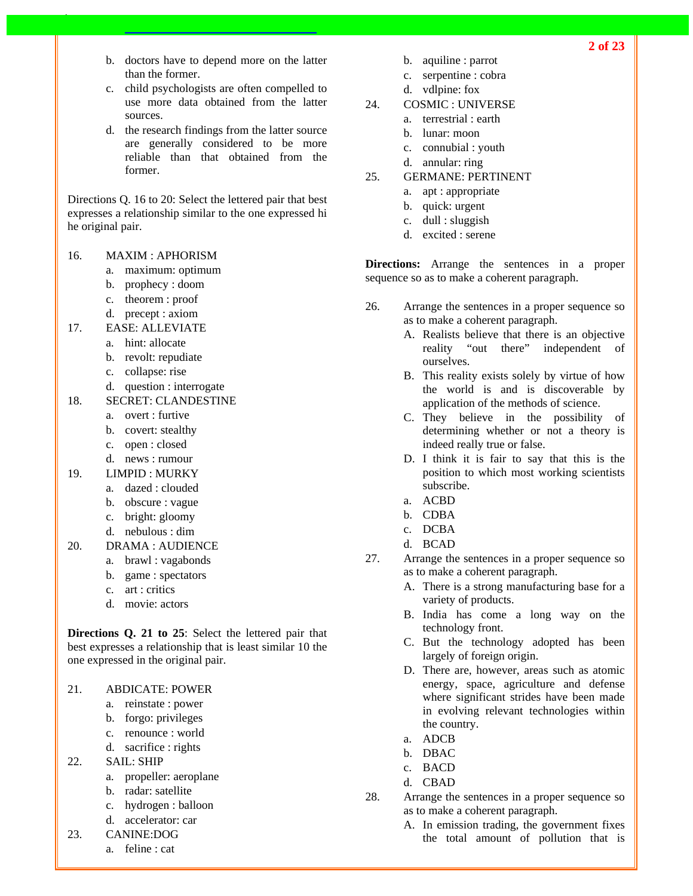- b. doctors have to depend more on the latter than the former.
- c. child psychologists are often compelled to use more data obtained from the latter sources.
- d. the research findings from the latter source are generally considered to be more reliable than that obtained from the former.

Directions Q. 16 to 20: Select the lettered pair that best expresses a relationship similar to the one expressed hi he original pair.

## 16. MAXIM : APHORISM

- a. maximum: optimum
- b. prophecy : doom
- c. theorem : proof
- d. precept : axiom
- 17. EASE: ALLEVIATE
	- a. hint: allocate
	- b. revolt: repudiate
	- c. collapse: rise
	- d. question : interrogate
- 18. SECRET: CLANDESTINE
	- a. overt : furtive
	- b. covert: stealthy
	- c. open : closed
	- d. news : rumour
- 19. LIMPID : MURKY
	- a. dazed : clouded
	- b. obscure : vague
	- c. bright: gloomy
	- d. nebulous : dim
- 20. DRAMA : AUDIENCE
	- a. brawl : vagabonds
	- b. game : spectators
	- c. art : critics
	- d. movie: actors

**Directions Q. 21 to 25**: Select the lettered pair that best expresses a relationship that is least similar 10 the one expressed in the original pair.

- 21. ABDICATE: POWER
	- a. reinstate : power
	- b. forgo: privileges
	- c. renounce : world
	- d. sacrifice : rights
- 22. SAIL: SHIP
	- a. propeller: aeroplane
	- b. radar: satellite
	- c. hydrogen : balloon
	- d. accelerator: car
- 23. CANINE:DOG
	- a. feline : cat
- b. aquiline : parrot
- c. serpentine : cobra
	- d. vdlpine: fox
- 24. COSMIC : UNIVERSE
	- a. terrestrial : earth
		- b. lunar: moon
	- c. connubial : youth
	- d. annular: ring
- 25. GERMANE: PERTINENT
	- a. apt : appropriate
	- b. quick: urgent
	- c. dull : sluggish
	- d. excited : serene

**Directions:** Arrange the sentences in a proper sequence so as to make a coherent paragraph.

- 26. Arrange the sentences in a proper sequence so as to make a coherent paragraph.
	- A. Realists believe that there is an objective reality "out there" independent of ourselves.
	- B. This reality exists solely by virtue of how the world is and is discoverable by application of the methods of science.
	- C. They believe in the possibility of determining whether or not a theory is indeed really true or false.
	- D. I think it is fair to say that this is the position to which most working scientists subscribe.
	- a. ACBD
	- b. CDBA
	- c. DCBA
	- d. BCAD
- 27. Arrange the sentences in a proper sequence so as to make a coherent paragraph.
	- A. There is a strong manufacturing base for a variety of products.
	- B. India has come a long way on the technology front.
	- C. But the technology adopted has been largely of foreign origin.
	- D. There are, however, areas such as atomic energy, space, agriculture and defense where significant strides have been made in evolving relevant technologies within the country.
	- a. ADCB
	- b. DBAC
	- c. BACD
	- d. CBAD
- 28. Arrange the sentences in a proper sequence so as to make a coherent paragraph.
	- A. In emission trading, the government fixes the total amount of pollution that is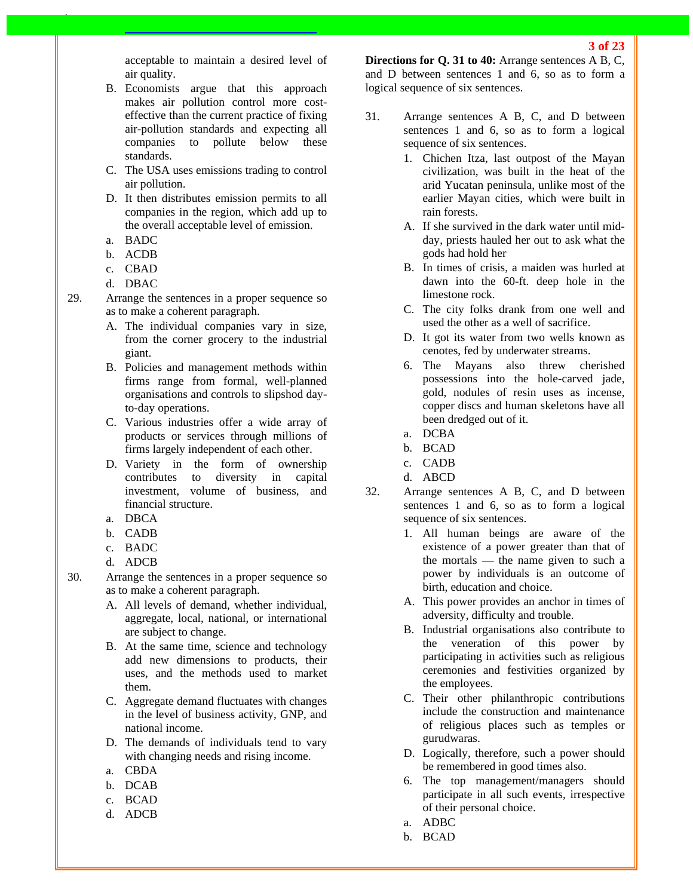acceptable to maintain a desired level of air quality.

- B. Economists argue that this approach makes air pollution control more costeffective than the current practice of fixing air-pollution standards and expecting all companies to pollute below these standards.
- C. The USA uses emissions trading to control air pollution.
- D. It then distributes emission permits to all companies in the region, which add up to the overall acceptable level of emission.
- a. BADC
- b. ACDB
- c. CBAD
- d. DBAC
- 29. Arrange the sentences in a proper sequence so as to make a coherent paragraph.
	- A. The individual companies vary in size, from the corner grocery to the industrial giant.
	- B. Policies and management methods within firms range from formal, well-planned organisations and controls to slipshod dayto-day operations.
	- C. Various industries offer a wide array of products or services through millions of firms largely independent of each other.
	- D. Variety in the form of ownership contributes to diversity in capital investment, volume of business, and financial structure.
	- a. DBCA
	- b. CADB
	- c. BADC
	- d. ADCB
- 30. Arrange the sentences in a proper sequence so as to make a coherent paragraph.
	- A. All levels of demand, whether individual, aggregate, local, national, or international are subject to change.
	- B. At the same time, science and technology add new dimensions to products, their uses, and the methods used to market them.
	- C. Aggregate demand fluctuates with changes in the level of business activity, GNP, and national income.
	- D. The demands of individuals tend to vary with changing needs and rising income.
	- a. CBDA
	- b. DCAB
	- c. BCAD
	- d. ADCB

**Directions for Q. 31 to 40:** Arrange sentences A B, C, and D between sentences 1 and 6, so as to form a logical sequence of six sentences.

- 31. Arrange sentences A B, C, and D between sentences 1 and 6, so as to form a logical sequence of six sentences.
	- 1. Chichen Itza, last outpost of the Mayan civilization, was built in the heat of the arid Yucatan peninsula, unlike most of the earlier Mayan cities, which were built in rain forests.
	- A. If she survived in the dark water until midday, priests hauled her out to ask what the gods had hold her
	- B. In times of crisis, a maiden was hurled at dawn into the 60-ft. deep hole in the limestone rock.
	- C. The city folks drank from one well and used the other as a well of sacrifice.
	- D. It got its water from two wells known as cenotes, fed by underwater streams.
	- 6. The Mayans also threw cherished possessions into the hole-carved jade, gold, nodules of resin uses as incense, copper discs and human skeletons have all been dredged out of it.
	- a. DCBA
	- b. BCAD
	- c. CADB
	- d. ABCD
- 32. Arrange sentences A B, C, and D between sentences 1 and 6, so as to form a logical sequence of six sentences.
	- 1. All human beings are aware of the existence of a power greater than that of the mortals — the name given to such a power by individuals is an outcome of birth, education and choice.
	- A. This power provides an anchor in times of adversity, difficulty and trouble.
	- B. Industrial organisations also contribute to the veneration of this power by participating in activities such as religious ceremonies and festivities organized by the employees.
	- C. Their other philanthropic contributions include the construction and maintenance of religious places such as temples or gurudwaras.
	- D. Logically, therefore, such a power should be remembered in good times also.
	- 6. The top management/managers should participate in all such events, irrespective of their personal choice.
	- a. ADBC
	- b. BCAD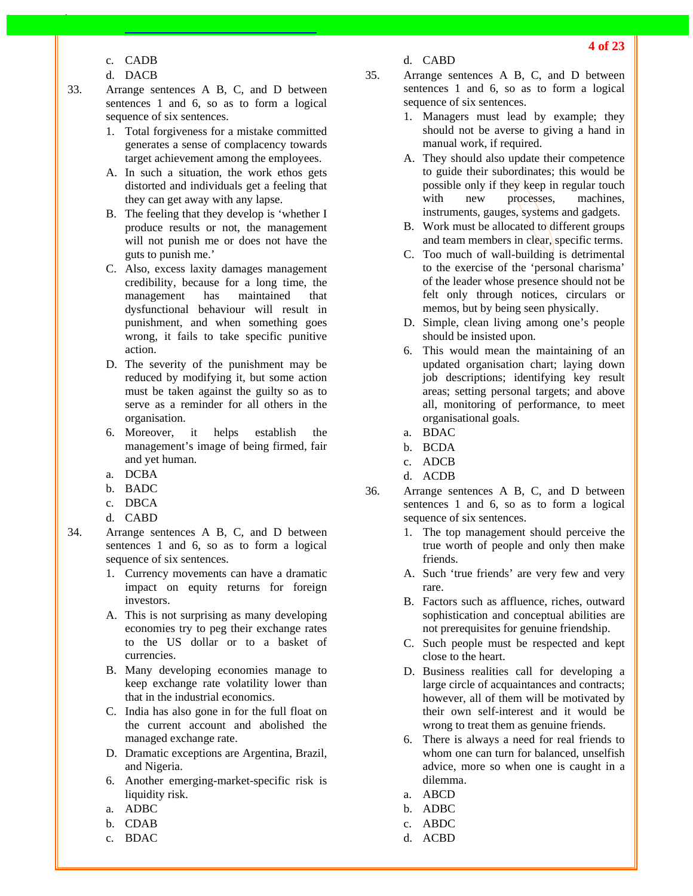- c. CADB
- d. DACB
- 33. Arrange sentences A B, C, and D between sentences 1 and 6, so as to form a logical sequence of six sentences.
	- 1. Total forgiveness for a mistake committed generates a sense of complacency towards target achievement among the employees.
	- A. In such a situation, the work ethos gets distorted and individuals get a feeling that they can get away with any lapse.
	- B. The feeling that they develop is 'whether I produce results or not, the management will not punish me or does not have the guts to punish me.'
	- C. Also, excess laxity damages management credibility, because for a long time, the management has maintained that dysfunctional behaviour will result in punishment, and when something goes wrong, it fails to take specific punitive action.
	- D. The severity of the punishment may be reduced by modifying it, but some action must be taken against the guilty so as to serve as a reminder for all others in the organisation.
	- 6. Moreover, it helps establish the management's image of being firmed, fair and yet human.
	- a. DCBA
	- b. BADC
	- c. DBCA
	- d. CABD
- 34. Arrange sentences A B, C, and D between sentences 1 and 6, so as to form a logical sequence of six sentences.
	- 1. Currency movements can have a dramatic impact on equity returns for foreign investors.
	- A. This is not surprising as many developing economies try to peg their exchange rates to the US dollar or to a basket of currencies.
	- B. Many developing economies manage to keep exchange rate volatility lower than that in the industrial economics.
	- C. India has also gone in for the full float on the current account and abolished the managed exchange rate.
	- D. Dramatic exceptions are Argentina, Brazil, and Nigeria.
	- 6. Another emerging-market-specific risk is liquidity risk.
	- a. ADBC
	- b. CDAB
	- c. BDAC
- d. CABD
- 35. Arrange sentences A B, C, and D between sentences 1 and 6, so as to form a logical sequence of six sentences.
	- 1. Managers must lead by example; they should not be averse to giving a hand in manual work, if required.
	- A. They should also update their competence to guide their subordinates; this would be possible only if they keep in regular touch with new processes, machines, instruments, gauges, systems and gadgets.
	- B. Work must be allocated to different groups and team members in clear, specific terms.
	- C. Too much of wall-building is detrimental to the exercise of the 'personal charisma' of the leader whose presence should not be felt only through notices, circulars or memos, but by being seen physically.
	- D. Simple, clean living among one's people should be insisted upon.
	- 6. This would mean the maintaining of an updated organisation chart; laying down job descriptions; identifying key result areas; setting personal targets; and above all, monitoring of performance, to meet organisational goals.
	- a. BDAC
	- b. BCDA
	- c. ADCB
	- d. ACDB
- 36. Arrange sentences A B, C, and D between sentences 1 and 6, so as to form a logical sequence of six sentences.
	- 1. The top management should perceive the true worth of people and only then make friends.
	- A. Such 'true friends' are very few and very rare.
	- B. Factors such as affluence, riches, outward sophistication and conceptual abilities are not prerequisites for genuine friendship.
	- C. Such people must be respected and kept close to the heart.
	- D. Business realities call for developing a large circle of acquaintances and contracts; however, all of them will be motivated by their own self-interest and it would be wrong to treat them as genuine friends.
	- 6. There is always a need for real friends to whom one can turn for balanced, unselfish advice, more so when one is caught in a dilemma.
	- a. ABCD
	- b. ADBC
	- c. ABDC
	- d. ACBD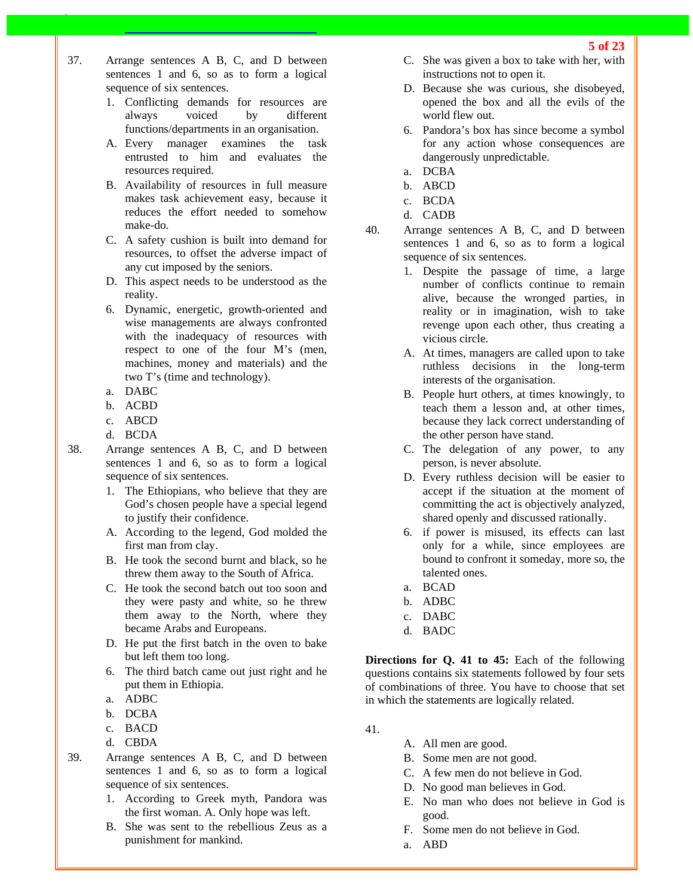- 1. Conflicting demands for resources are always voiced by different functions/departments in an organisation.
- A. Every manager examines the task entrusted to him and evaluates the resources required.
- B. Availability of resources in full measure makes task achievement easy, because it reduces the effort needed to somehow make-do.
- C. A safety cushion is built into demand for resources, to offset the adverse impact of any cut imposed by the seniors.
- D. This aspect needs to be understood as the reality.
- 6. Dynamic, energetic, growth-oriented and wise managements are always confronted with the inadequacy of resources with respect to one of the four M's (men, machines, money and materials) and the two T's (time and technology).
- a. DABC
- b. ACBD
- c. ABCD
- d. BCDA
- 38. Arrange sentences A B, C, and D between sentences 1 and 6, so as to form a logical sequence of six sentences.
	- 1. The Ethiopians, who believe that they are God's chosen people have a special legend to justify their confidence.
	- A. According to the legend, God molded the first man from clay.
	- B. He took the second burnt and black, so he threw them away to the South of Africa.
	- C. He took the second batch out too soon and they were pasty and white, so he threw them away to the North, where they became Arabs and Europeans.
	- D. He put the first batch in the oven to bake but left them too long.
	- 6. The third batch came out just right and he put them in Ethiopia.
	- a. ADBC
	- b. DCBA
	- c. BACD
	- d. CBDA
- 39. Arrange sentences A B, C, and D between sentences 1 and 6, so as to form a logical sequence of six sentences.
	- 1. According to Greek myth, Pandora was the first woman. A. Only hope was left.
	- B. She was sent to the rebellious Zeus as a punishment for mankind.
- C. She was given a box to take with her, with instructions not to open it.
- D. Because she was curious, she disobeyed, opened the box and all the evils of the world flew out.
- 6. Pandora's box has since become a symbol for any action whose consequences are dangerously unpredictable.
- a. DCBA
- b. ABCD
- c. BCDA
- d. CADB
- 40. Arrange sentences A B, C, and D between sentences 1 and 6, so as to form a logical sequence of six sentences.
	- 1. Despite the passage of time, a large number of conflicts continue to remain alive, because the wronged parties, in reality or in imagination, wish to take revenge upon each other, thus creating a vicious circle.
	- A. At times, managers are called upon to take ruthless decisions in the long-term interests of the organisation.
	- B. People hurt others, at times knowingly, to teach them a lesson and, at other times, because they lack correct understanding of the other person have stand.
	- C. The delegation of any power, to any person, is never absolute.
	- D. Every ruthless decision will be easier to accept if the situation at the moment of committing the act is objectively analyzed, shared openly and discussed rationally.
	- 6. if power is misused, its effects can last only for a while, since employees are bound to confront it someday, more so, the talented ones.
	- a. BCAD
	- b. ADBC
	- c. DABC
	- d. BADC

**Directions for Q. 41 to 45:** Each of the following questions contains six statements followed by four sets of combinations of three. You have to choose that set in which the statements are logically related.

- 41.
- A. All men are good.
- B. Some men are not good.
- C. A few men do not believe in God.
- D. No good man believes in God.
- E. No man who does not believe in God is good.
- F. Some men do not believe in God.
- a. ABD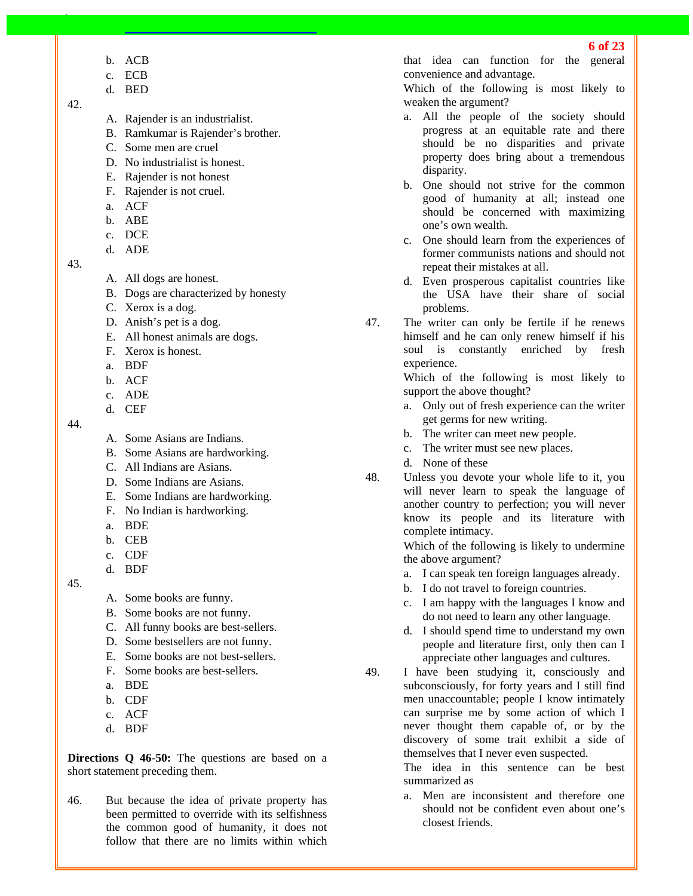- b. ACB
- c. ECB
- d. BED

## 42.

- A. Rajender is an industrialist.
- B. Ramkumar is Rajender's brother.
- C. Some men are cruel
- D. No industrialist is honest.
- E. Rajender is not honest
- F. Rajender is not cruel.
- a. ACF
- b. ABE
- c. DCE
- d. ADE

## 43.

- A. All dogs are honest.
- B. Dogs are characterized by honesty
- C. Xerox is a dog.
- D. Anish's pet is a dog.
- E. All honest animals are dogs.
- F. Xerox is honest.
- a. BDF
- b. ACF
- c. ADE
- d. CEF
- 44.
- A. Some Asians are Indians.
- B. Some Asians are hardworking.
- C. All Indians are Asians.
- D. Some Indians are Asians.
- E. Some Indians are hardworking.
- F. No Indian is hardworking.
- a. BDE
- b. CEB
- c. CDF
- d. BDF

45.

- A. Some books are funny.
- B. Some books are not funny.
- C. All funny books are best-sellers.
- D. Some bestsellers are not funny.
- E. Some books are not best-sellers.
- F. Some books are best-sellers.
- a. BDE
- b. CDF
- c. ACF
- d. BDF

**Directions Q 46-50:** The questions are based on a short statement preceding them.

46. But because the idea of private property has been permitted to override with its selfishness the common good of humanity, it does not follow that there are no limits within which

that idea can function for the general convenience and advantage.

Which of the following is most likely to weaken the argument?

- a. All the people of the society should progress at an equitable rate and there should be no disparities and private property does bring about a tremendous disparity.
- b. One should not strive for the common good of humanity at all; instead one should be concerned with maximizing one's own wealth.
- c. One should learn from the experiences of former communists nations and should not repeat their mistakes at all.
- d. Even prosperous capitalist countries like the USA have their share of social problems.
- 47. The writer can only be fertile if he renews himself and he can only renew himself if his soul is constantly enriched by fresh experience.

Which of the following is most likely to support the above thought?

- a. Only out of fresh experience can the writer get germs for new writing.
- b. The writer can meet new people.
- c. The writer must see new places.
- d. None of these
- 48. Unless you devote your whole life to it, you will never learn to speak the language of another country to perfection; you will never know its people and its literature with complete intimacy.

Which of the following is likely to undermine the above argument?

- a. I can speak ten foreign languages already.
- b. I do not travel to foreign countries.
- c. I am happy with the languages I know and do not need to learn any other language.
- d. I should spend time to understand my own people and literature first, only then can I appreciate other languages and cultures.
- 49. I have been studying it, consciously and subconsciously, for forty years and I still find men unaccountable; people I know intimately can surprise me by some action of which I never thought them capable of, or by the discovery of some trait exhibit a side of themselves that I never even suspected.

The idea in this sentence can be best summarized as

a. Men are inconsistent and therefore one should not be confident even about one's closest friends.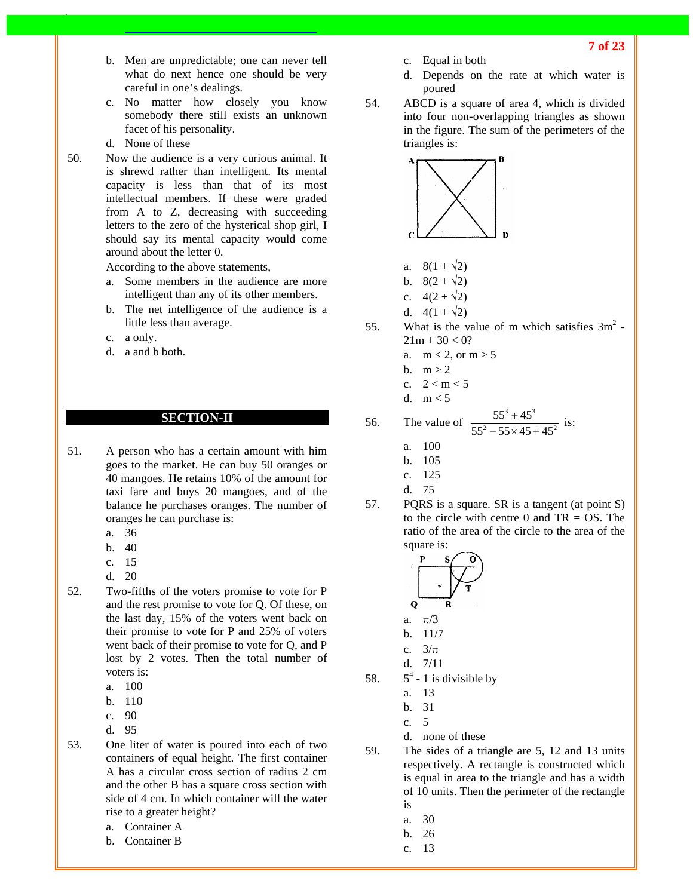- b. Men are unpredictable; one can never tell what do next hence one should be very careful in one's dealings.
- c. No matter how closely you know somebody there still exists an unknown facet of his personality.
- d. None of these
- 50. Now the audience is a very curious animal. It is shrewd rather than intelligent. Its mental capacity is less than that of its most intellectual members. If these were graded from A to Z, decreasing with succeeding letters to the zero of the hysterical shop girl, I should say its mental capacity would come around about the letter 0.

According to the above statements,

- a. Some members in the audience are more intelligent than any of its other members.
- b. The net intelligence of the audience is a little less than average.
- c. a only.
- d. a and b both.

#### **SECTION-II**

- 51. A person who has a certain amount with him goes to the market. He can buy 50 oranges or 40 mangoes. He retains 10% of the amount for taxi fare and buys 20 mangoes, and of the balance he purchases oranges. The number of oranges he can purchase is:
	- a. 36
	- b. 40
	- c. 15
	- d. 20
- 52. Two-fifths of the voters promise to vote for P and the rest promise to vote for Q. Of these, on the last day, 15% of the voters went back on their promise to vote for P and 25% of voters went back of their promise to vote for Q, and P lost by 2 votes. Then the total number of voters is:
	- a. 100
	- b. 110
	- c. 90
	- d. 95
- 53. One liter of water is poured into each of two containers of equal height. The first container A has a circular cross section of radius 2 cm and the other B has a square cross section with side of 4 cm. In which container will the water rise to a greater height?
	- a. Container A
	- b. Container B
- c. Equal in both
- d. Depends on the rate at which water is poured
- 54. ABCD is a square of area 4, which is divided into four non-overlapping triangles as shown in the figure. The sum of the perimeters of the triangles is:



- a.  $8(1 + \sqrt{2})$
- b.  $8(2 + \sqrt{2})$
- c.  $4(2 + \sqrt{2})$
- d.  $4(1 + \sqrt{2})$
- 55. What is the value of m which satisfies  $3m^2$  - $21m + 30 < 0?$ 
	- a.  $m < 2$ , or  $m > 5$
	- b.  $m > 2$
	- c.  $2 < m < 5$
	- d.  $m < 5$

56. The value of 
$$
\frac{55^3 + 45^3}{55^2 - 55 \times 45 + 45^2}
$$
 is:

- a. 100
- b. 105
- c. 125
- d. 75
- 57. PQRS is a square. SR is a tangent (at point S) to the circle with centre 0 and  $TR = OS$ . The ratio of the area of the circle to the area of the square is:



- c.  $3/\pi$
- d. 7/11
- 58.  $5^4$  - 1 is divisible by
	- a. 13
	- b. 31
	- c. 5
	- d. none of these
- 59. The sides of a triangle are 5, 12 and 13 units respectively. A rectangle is constructed which is equal in area to the triangle and has a width of 10 units. Then the perimeter of the rectangle
	- is
	- a. 30
	- b. 26
	- c. 13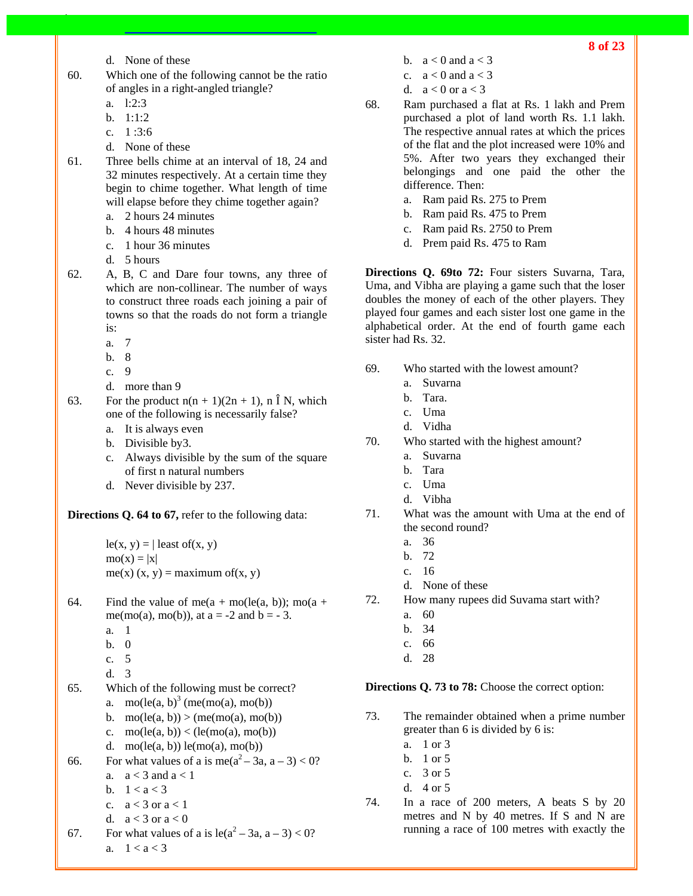- d. None of these
- 60. Which one of the following cannot be the ratio of angles in a right-angled triangle?
	- a. l:2:3
	- $h = 1:1:2$
	- c. 1 :3:6
	- d. None of these
- 61. Three bells chime at an interval of 18, 24 and 32 minutes respectively. At a certain time they begin to chime together. What length of time will elapse before they chime together again?
	- a. 2 hours 24 minutes
	- b. 4 hours 48 minutes
	- c. 1 hour 36 minutes
	- d. 5 hours
- 62. A, B, C and Dare four towns, any three of which are non-collinear. The number of ways to construct three roads each joining a pair of towns so that the roads do not form a triangle is:
	- a. 7
	- b. 8
	- c. 9
	- d. more than 9
- 63. For the product  $n(n + 1)(2n + 1)$ , n  $\hat{I}$  N, which one of the following is necessarily false?
	- a. It is always even
	- b. Divisible by3.
	- c. Always divisible by the sum of the square of first n natural numbers
	- d. Never divisible by 237.

**Directions Q. 64 to 67,** refer to the following data:

 $le(x, y) = |$  least of(x, y)  $\text{mo}(x) = |x|$ me(x) (x, y) = maximum of(x, y)

- 64. Find the value of me( $a + \text{mo}(le(a, b))$ ; mo( $a +$ me(mo(a), mo(b)), at  $a = -2$  and  $b = -3$ .
	- a. 1
	- b. 0
	- c. 5
	- d. 3
- 65. Which of the following must be correct? a. mo(le(a, b)<sup>3</sup> (me(mo(a), mo(b))
	- b. mo(le(a, b)) > (me(mo(a), mo(b))
	- c.  $mo(le(a, b)) < (le(mo(a), mo(b))$
	- d. mo $(\text{le}(a, b))$  le $(\text{mo}(a), \text{mo}(b))$

```
66. For what values of a is me(a^2 - 3a, a - 3) < 0?
```
- a.  $a < 3$  and  $a < 1$
- b.  $1 < a < 3$
- c.  $a < 3$  or  $a < 1$
- d.  $a < 3$  or  $a < 0$
- 67. For what values of a is  $le(a^2 3a, a 3) < 0$ ? a.  $1 < a < 3$
- b.  $a < 0$  and  $a < 3$
- c.  $a < 0$  and  $a < 3$
- d.  $a < 0$  or  $a < 3$
- 68. Ram purchased a flat at Rs. 1 lakh and Prem purchased a plot of land worth Rs. 1.1 lakh. The respective annual rates at which the prices of the flat and the plot increased were 10% and 5%. After two years they exchanged their belongings and one paid the other the difference. Then:
	- a. Ram paid Rs. 275 to Prem
	- b. Ram paid Rs. 475 to Prem
	- c. Ram paid Rs. 2750 to Prem
	- d. Prem paid Rs. 475 to Ram

**Directions Q. 69to 72:** Four sisters Suvarna, Tara, Uma, and Vibha are playing a game such that the loser doubles the money of each of the other players. They played four games and each sister lost one game in the alphabetical order. At the end of fourth game each sister had Rs. 32.

- 69. Who started with the lowest amount?
	- a. Suvarna
	- b. Tara.
	- c. Uma
	- d. Vidha
- 70. Who started with the highest amount?
	- a. Suvarna
	- b. Tara
	- c. Uma
	- d. Vibha
- 71. What was the amount with Uma at the end of the second round?
	- a. 36
	- b. 72
	- c. 16
	- d. None of these
- 72. How many rupees did Suvama start with?
	- a. 60
	- b. 34
	- c. 66
	- d. 28

**Directions Q. 73 to 78:** Choose the correct option:

- 73. The remainder obtained when a prime number greater than 6 is divided by 6 is:
	- a. 1 or 3
	- b. 1 or 5
	- c. 3 or 5
	- d. 4 or 5
- 74. In a race of 200 meters, A beats S by 20 metres and N by 40 metres. If S and N are running a race of 100 metres with exactly the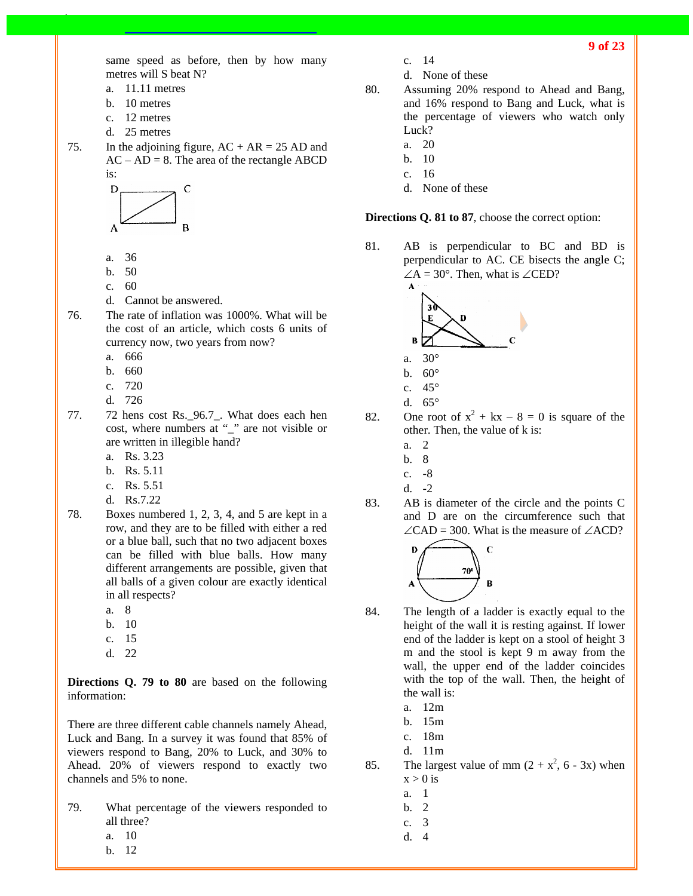**9 of 23**

same speed as before, then by how many metres will S beat N?

- a. 11.11 metres
- b. 10 metres
- c. 12 metres
- d. 25 metres
- 75. In the adjoining figure,  $AC + AR = 25 AD$  and  $AC - AD = 8$ . The area of the rectangle ABCD is:



- a. 36
- b. 50
- c. 60
- d. Cannot be answered.
- 76. The rate of inflation was 1000%. What will be the cost of an article, which costs 6 units of currency now, two years from now?
	- a. 666
	- b. 660
	- c. 720
	- d. 726
- 77. 72 hens cost Rs.\_96.7\_. What does each hen cost, where numbers at "\_" are not visible or are written in illegible hand?
	- a. Rs. 3.23
	- b. Rs. 5.11
	- c. Rs. 5.51
	- d. Rs.7.22
- 78. Boxes numbered 1, 2, 3, 4, and 5 are kept in a row, and they are to be filled with either a red or a blue ball, such that no two adjacent boxes can be filled with blue balls. How many different arrangements are possible, given that all balls of a given colour are exactly identical in all respects?
	- a. 8
	- b. 10
	- c. 15
	- d. 22

**Directions Q. 79 to 80** are based on the following information:

There are three different cable channels namely Ahead, Luck and Bang. In a survey it was found that 85% of viewers respond to Bang, 20% to Luck, and 30% to Ahead. 20% of viewers respond to exactly two channels and 5% to none.

- 79. What percentage of the viewers responded to all three?
	- a. 10
	- b. 12
- c. 14
- d. None of these
- 80. Assuming 20% respond to Ahead and Bang, and 16% respond to Bang and Luck, what is the percentage of viewers who watch only Luck?
	- a. 20
	- b. 10
	- c. 16
	- d. None of these

**Directions Q. 81 to 87**, choose the correct option:

81. AB is perpendicular to BC and BD is perpendicular to AC. CE bisects the angle C;  $\angle A = 30^\circ$ . Then, what is  $\angle$ CED?



- b.  $60^\circ$
- c. 45°
- d. 65°

82. One root of  $x^2 + kx - 8 = 0$  is square of the other. Then, the value of k is:

- a. 2
- b. 8
- c. -8
- d.  $-2$
- 83. AB is diameter of the circle and the points C and D are on the circumference such that  $\angle$ CAD = 300. What is the measure of  $\angle$ ACD?



- 84. The length of a ladder is exactly equal to the height of the wall it is resting against. If lower end of the ladder is kept on a stool of height 3 m and the stool is kept 9 m away from the wall, the upper end of the ladder coincides with the top of the wall. Then, the height of the wall is:
	- a. 12m
	- b. 15m
	- c. 18m
	- d. 11m
- 85. The largest value of mm  $(2 + x^2, 6 3x)$  when  $x > 0$  is
	- a. 1
	- b. 2
	- c. 3
	-
	- d. 4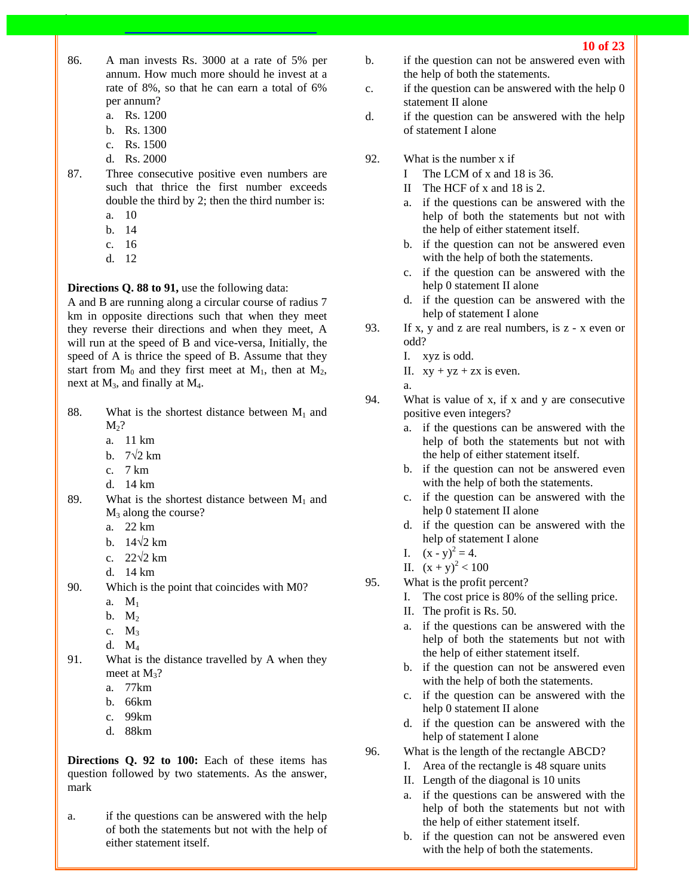- 86. A man invests Rs. 3000 at a rate of 5% per annum. How much more should he invest at a rate of 8%, so that he can earn a total of 6% per annum?
	- a. Rs. 1200
	- b. Rs. 1300
	- c. Rs. 1500
	- d. Rs. 2000
- 87. Three consecutive positive even numbers are such that thrice the first number exceeds double the third by 2; then the third number is:
	- a. 10
	- b. 14
	- c. 16
	- d. 12

#### **Directions Q. 88 to 91,** use the following data:

A and B are running along a circular course of radius 7 km in opposite directions such that when they meet they reverse their directions and when they meet, A will run at the speed of B and vice-versa, Initially, the speed of A is thrice the speed of B. Assume that they start from  $M_0$  and they first meet at  $M_1$ , then at  $M_2$ , next at  $M_3$ , and finally at  $M_4$ .

- 88. What is the shortest distance between  $M_1$  and  $M<sub>2</sub>$ ?
	- a. 11 km
	- b.  $7\sqrt{2}$  km
	- c. 7 km
	- d. 14 km
- 89. What is the shortest distance between  $M_1$  and  $M_3$  along the course?
	- a. 22 km
	- b.  $14\sqrt{2}$  km
	- c.  $22\sqrt{2}$  km
	- d. 14 km
- 90. Which is the point that coincides with M0?
	- a. M1
	- $b. M_2$
	- c.  $M_3$
	- d. M4
- 91. What is the distance travelled by A when they meet at  $M_3$ ?
	- a. 77km
	- b. 66km
	- c. 99km
	- d. 88km

**Directions Q. 92 to 100:** Each of these items has question followed by two statements. As the answer, mark

a. if the questions can be answered with the help of both the statements but not with the help of either statement itself.

- b. if the question can not be answered even with the help of both the statements.
- c. if the question can be answered with the help 0 statement II alone
- d. if the question can be answered with the help of statement I alone
- 92. What is the number x if
	- I The LCM of x and 18 is 36.
	- II The HCF of x and 18 is 2.
	- a. if the questions can be answered with the help of both the statements but not with the help of either statement itself.
	- b. if the question can not be answered even with the help of both the statements.
	- c. if the question can be answered with the help 0 statement II alone
	- d. if the question can be answered with the help of statement I alone
- 93. If x, y and z are real numbers, is z x even or odd?
	- I. xyz is odd.
	- II.  $xy + yz + zx$  is even.

a.

- 94. What is value of x, if x and y are consecutive positive even integers?
	- a. if the questions can be answered with the help of both the statements but not with the help of either statement itself.
	- b. if the question can not be answered even with the help of both the statements.
	- c. if the question can be answered with the help 0 statement II alone
	- d. if the question can be answered with the help of statement I alone
	- I.  $(x y)^2 = 4$ .
	- II.  $(x + y)^2 < 100$
- 95. What is the profit percent?
	- I. The cost price is 80% of the selling price.
	- II. The profit is Rs. 50.
	- a. if the questions can be answered with the help of both the statements but not with the help of either statement itself.
	- b. if the question can not be answered even with the help of both the statements.
	- c. if the question can be answered with the help 0 statement II alone
	- d. if the question can be answered with the help of statement I alone
- 96. What is the length of the rectangle ABCD?
	- I. Area of the rectangle is 48 square units
	- II. Length of the diagonal is 10 units
	- a. if the questions can be answered with the help of both the statements but not with the help of either statement itself.
	- b. if the question can not be answered even with the help of both the statements.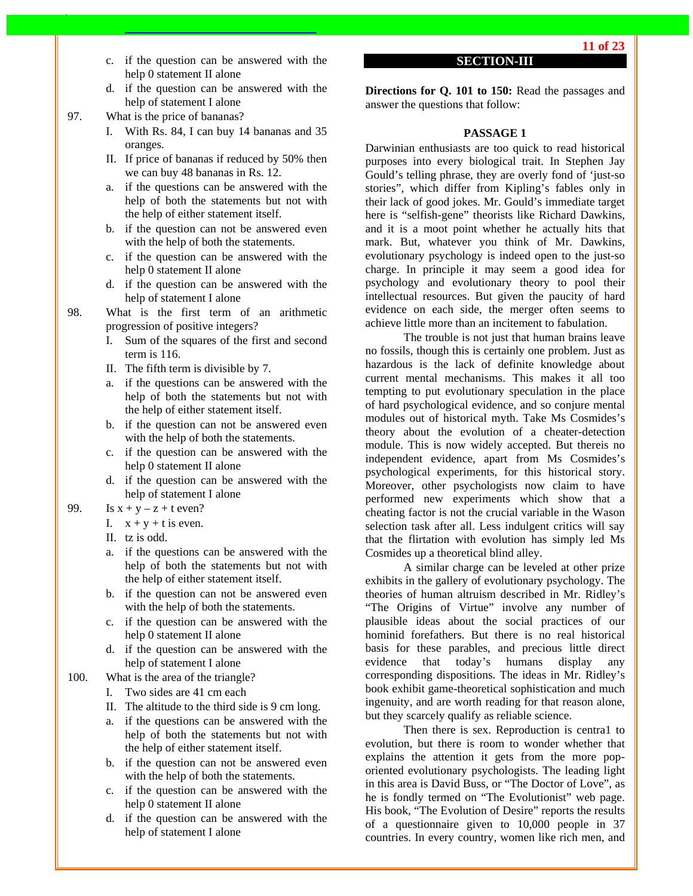- c. if the question can be answered with the help 0 statement II alone
- d. if the question can be answered with the help of statement I alone
- 97. What is the price of bananas?
	- I. With Rs. 84, I can buy 14 bananas and 35 oranges.
	- II. If price of bananas if reduced by 50% then we can buy 48 bananas in Rs. 12.
	- a. if the questions can be answered with the help of both the statements but not with the help of either statement itself.
	- b. if the question can not be answered even with the help of both the statements.
	- c. if the question can be answered with the help 0 statement II alone
	- d. if the question can be answered with the help of statement I alone
- 98. What is the first term of an arithmetic progression of positive integers?
	- I. Sum of the squares of the first and second term is 116.
	- II. The fifth term is divisible by 7.
	- a. if the questions can be answered with the help of both the statements but not with the help of either statement itself.
	- b. if the question can not be answered even with the help of both the statements.
	- c. if the question can be answered with the help 0 statement II alone
	- d. if the question can be answered with the help of statement I alone
- 99. Is  $x + y z + t$  even?
	- I.  $x + y + t$  is even.
	- II. tz is odd.
	- a. if the questions can be answered with the help of both the statements but not with the help of either statement itself.
	- b. if the question can not be answered even with the help of both the statements.
	- c. if the question can be answered with the help 0 statement II alone
	- d. if the question can be answered with the help of statement I alone
- 100. What is the area of the triangle?
	- I. Two sides are 41 cm each
	- II. The altitude to the third side is 9 cm long.
	- a. if the questions can be answered with the help of both the statements but not with the help of either statement itself.
	- b. if the question can not be answered even with the help of both the statements.
	- c. if the question can be answered with the help 0 statement II alone
	- d. if the question can be answered with the help of statement I alone

## **SECTION-III**

**Directions for Q. 101 to 150:** Read the passages and answer the questions that follow:

## **PASSAGE 1**

Darwinian enthusiasts are too quick to read historical purposes into every biological trait. In Stephen Jay Gould's telling phrase, they are overly fond of 'just-so stories", which differ from Kipling's fables only in their lack of good jokes. Mr. Gould's immediate target here is "selfish-gene" theorists like Richard Dawkins, and it is a moot point whether he actually hits that mark. But, whatever you think of Mr. Dawkins, evolutionary psychology is indeed open to the just-so charge. In principle it may seem a good idea for psychology and evolutionary theory to pool their intellectual resources. But given the paucity of hard evidence on each side, the merger often seems to achieve little more than an incitement to fabulation.

 The trouble is not just that human brains leave no fossils, though this is certainly one problem. Just as hazardous is the lack of definite knowledge about current mental mechanisms. This makes it all too tempting to put evolutionary speculation in the place of hard psychological evidence, and so conjure mental modules out of historical myth. Take Ms Cosmides's theory about the evolution of a cheater-detection module. This is now widely accepted. But thereis no independent evidence, apart from Ms Cosmides's psychological experiments, for this historical story. Moreover, other psychologists now claim to have performed new experiments which show that a cheating factor is not the crucial variable in the Wason selection task after all. Less indulgent critics will say that the flirtation with evolution has simply led Ms Cosmides up a theoretical blind alley.

 A similar charge can be leveled at other prize exhibits in the gallery of evolutionary psychology. The theories of human altruism described in Mr. Ridley's "The Origins of Virtue" involve any number of plausible ideas about the social practices of our hominid forefathers. But there is no real historical basis for these parables, and precious little direct evidence that today's humans display any corresponding dispositions. The ideas in Mr. Ridley's book exhibit game-theoretical sophistication and much ingenuity, and are worth reading for that reason alone, but they scarcely qualify as reliable science.

Then there is sex. Reproduction is centra1 to evolution, but there is room to wonder whether that explains the attention it gets from the more poporiented evolutionary psychologists. The leading light in this area is David Buss, or "The Doctor of Love", as he is fondly termed on "The Evolutionist" web page. His book, "The Evolution of Desire" reports the results of a questionnaire given to 10,000 people in 37 countries. In every country, women like rich men, and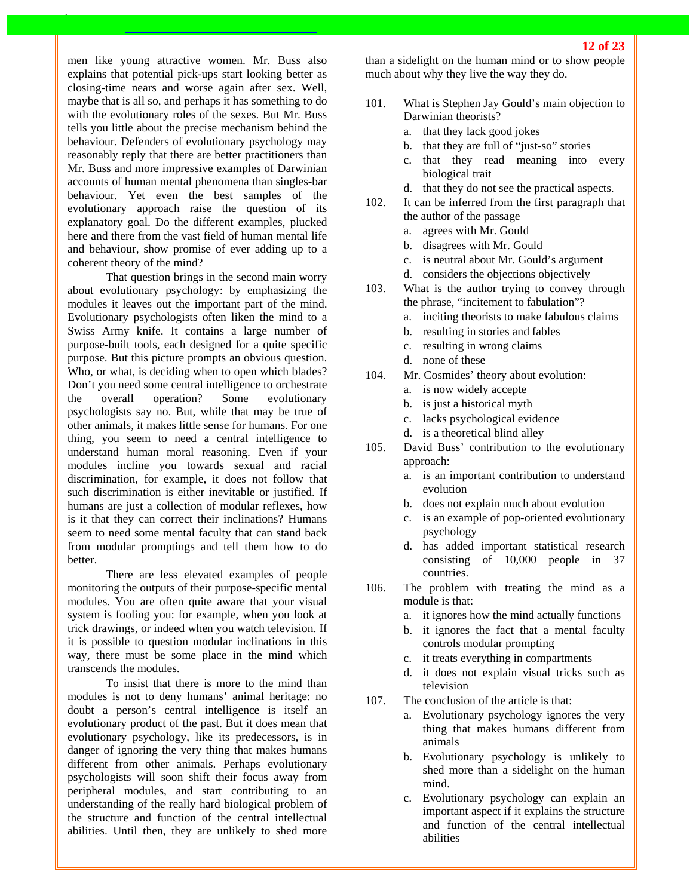men like young attractive women. Mr. Buss also explains that potential pick-ups start looking better as closing-time nears and worse again after sex. Well, maybe that is all so, and perhaps it has something to do with the evolutionary roles of the sexes. But Mr. Buss tells you little about the precise mechanism behind the behaviour. Defenders of evolutionary psychology may reasonably reply that there are better practitioners than Mr. Buss and more impressive examples of Darwinian accounts of human mental phenomena than singles-bar behaviour. Yet even the best samples of the evolutionary approach raise the question of its explanatory goal. Do the different examples, plucked here and there from the vast field of human mental life and behaviour, show promise of ever adding up to a coherent theory of the mind?

That question brings in the second main worry about evolutionary psychology: by emphasizing the modules it leaves out the important part of the mind. Evolutionary psychologists often liken the mind to a Swiss Army knife. It contains a large number of purpose-built tools, each designed for a quite specific purpose. But this picture prompts an obvious question. Who, or what, is deciding when to open which blades? Don't you need some central intelligence to orchestrate the overall operation? Some evolutionary psychologists say no. But, while that may be true of other animals, it makes little sense for humans. For one thing, you seem to need a central intelligence to understand human moral reasoning. Even if your modules incline you towards sexual and racial discrimination, for example, it does not follow that such discrimination is either inevitable or justified. If humans are just a collection of modular reflexes, how is it that they can correct their inclinations? Humans seem to need some mental faculty that can stand back from modular promptings and tell them how to do better.

There are less elevated examples of people monitoring the outputs of their purpose-specific mental modules. You are often quite aware that your visual system is fooling you: for example, when you look at trick drawings, or indeed when you watch television. If it is possible to question modular inclinations in this way, there must be some place in the mind which transcends the modules.

To insist that there is more to the mind than modules is not to deny humans' animal heritage: no doubt a person's central intelligence is itself an evolutionary product of the past. But it does mean that evolutionary psychology, like its predecessors, is in danger of ignoring the very thing that makes humans different from other animals. Perhaps evolutionary psychologists will soon shift their focus away from peripheral modules, and start contributing to an understanding of the really hard biological problem of the structure and function of the central intellectual abilities. Until then, they are unlikely to shed more

than a sidelight on the human mind or to show people much about why they live the way they do.

- 101. What is Stephen Jay Gould's main objection to Darwinian theorists?
	- a. that they lack good jokes
	- b. that they are full of "just-so" stories
	- c. that they read meaning into every biological trait
	- d. that they do not see the practical aspects.
- 102. It can be inferred from the first paragraph that the author of the passage
	- a. agrees with Mr. Gould
	- b. disagrees with Mr. Gould
	- c. is neutral about Mr. Gould's argument
	- d. considers the objections objectively
- 103. What is the author trying to convey through the phrase, "incitement to fabulation"?
	- a. inciting theorists to make fabulous claims
	- b. resulting in stories and fables
	- c. resulting in wrong claims
	- d. none of these
- 104. Mr. Cosmides' theory about evolution:
	- a. is now widely accepte
	- b. is just a historical myth
	- c. lacks psychological evidence
	- d. is a theoretical blind alley
- 105. David Buss' contribution to the evolutionary approach:
	- a. is an important contribution to understand evolution
	- b. does not explain much about evolution
	- c. is an example of pop-oriented evolutionary psychology
	- d. has added important statistical research consisting of 10,000 people in 37 countries.
- 106. The problem with treating the mind as a module is that:
	- a. it ignores how the mind actually functions
	- b. it ignores the fact that a mental faculty controls modular prompting
	- c. it treats everything in compartments
	- d. it does not explain visual tricks such as television
- 107. The conclusion of the article is that:
	- a. Evolutionary psychology ignores the very thing that makes humans different from animals
	- b. Evolutionary psychology is unlikely to shed more than a sidelight on the human mind.
	- c. Evolutionary psychology can explain an important aspect if it explains the structure and function of the central intellectual abilities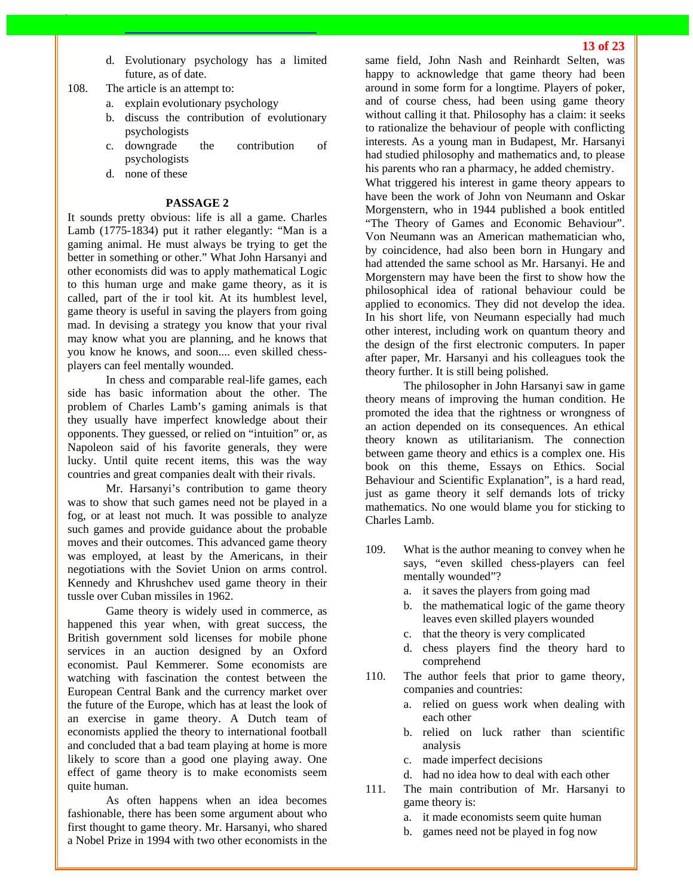- d. Evolutionary psychology has a limited future, as of date.
- 108. The article is an attempt to:
	- a. explain evolutionary psychology
	- b. discuss the contribution of evolutionary psychologists
	- c. downgrade the contribution of psychologists
	- d. none of these

#### **PASSAGE 2**

It sounds pretty obvious: life is all a game. Charles Lamb (1775-1834) put it rather elegantly: "Man is a gaming animal. He must always be trying to get the better in something or other." What John Harsanyi and other economists did was to apply mathematical Logic to this human urge and make game theory, as it is called, part of the ir tool kit. At its humblest level, game theory is useful in saving the players from going mad. In devising a strategy you know that your rival may know what you are planning, and he knows that you know he knows, and soon.... even skilled chessplayers can feel mentally wounded.

In chess and comparable real-life games, each side has basic information about the other. The problem of Charles Lamb's gaming animals is that they usually have imperfect knowledge about their opponents. They guessed, or relied on "intuition" or, as Napoleon said of his favorite generals, they were lucky. Until quite recent items, this was the way countries and great companies dealt with their rivals.

Mr. Harsanyi's contribution to game theory was to show that such games need not be played in a fog, or at least not much. It was possible to analyze such games and provide guidance about the probable moves and their outcomes. This advanced game theory was employed, at least by the Americans, in their negotiations with the Soviet Union on arms control. Kennedy and Khrushchev used game theory in their tussle over Cuban missiles in 1962.

Game theory is widely used in commerce, as happened this year when, with great success, the British government sold licenses for mobile phone services in an auction designed by an Oxford economist. Paul Kemmerer. Some economists are watching with fascination the contest between the European Central Bank and the currency market over the future of the Europe, which has at least the look of an exercise in game theory. A Dutch team of economists applied the theory to international football and concluded that a bad team playing at home is more likely to score than a good one playing away. One effect of game theory is to make economists seem quite human.

As often happens when an idea becomes fashionable, there has been some argument about who first thought to game theory. Mr. Harsanyi, who shared a Nobel Prize in 1994 with two other economists in the same field, John Nash and Reinhardt Selten, was happy to acknowledge that game theory had been around in some form for a longtime. Players of poker, and of course chess, had been using game theory without calling it that. Philosophy has a claim: it seeks to rationalize the behaviour of people with conflicting interests. As a young man in Budapest, Mr. Harsanyi had studied philosophy and mathematics and, to please his parents who ran a pharmacy, he added chemistry.

What triggered his interest in game theory appears to have been the work of John von Neumann and Oskar Morgenstern, who in 1944 published a book entitled "The Theory of Games and Economic Behaviour". Von Neumann was an American mathematician who, by coincidence, had also been born in Hungary and had attended the same school as Mr. Harsanyi. He and Morgenstern may have been the first to show how the philosophical idea of rational behaviour could be applied to economics. They did not develop the idea. In his short life, von Neumann especially had much other interest, including work on quantum theory and the design of the first electronic computers. In paper after paper, Mr. Harsanyi and his colleagues took the theory further. It is still being polished.

The philosopher in John Harsanyi saw in game theory means of improving the human condition. He promoted the idea that the rightness or wrongness of an action depended on its consequences. An ethical theory known as utilitarianism. The connection between game theory and ethics is a complex one. His book on this theme, Essays on Ethics. Social Behaviour and Scientific Explanation", is a hard read, just as game theory it self demands lots of tricky mathematics. No one would blame you for sticking to Charles Lamb.

- 109. What is the author meaning to convey when he says, "even skilled chess-players can feel mentally wounded"?
	- a. it saves the players from going mad
	- b. the mathematical logic of the game theory leaves even skilled players wounded
	- c. that the theory is very complicated
	- d. chess players find the theory hard to comprehend
- 110. The author feels that prior to game theory, companies and countries:
	- a. relied on guess work when dealing with each other
	- b. relied on luck rather than scientific analysis
	- c. made imperfect decisions
	- d. had no idea how to deal with each other
- 111. The main contribution of Mr. Harsanyi to game theory is:
	- a. it made economists seem quite human
	- b. games need not be played in fog now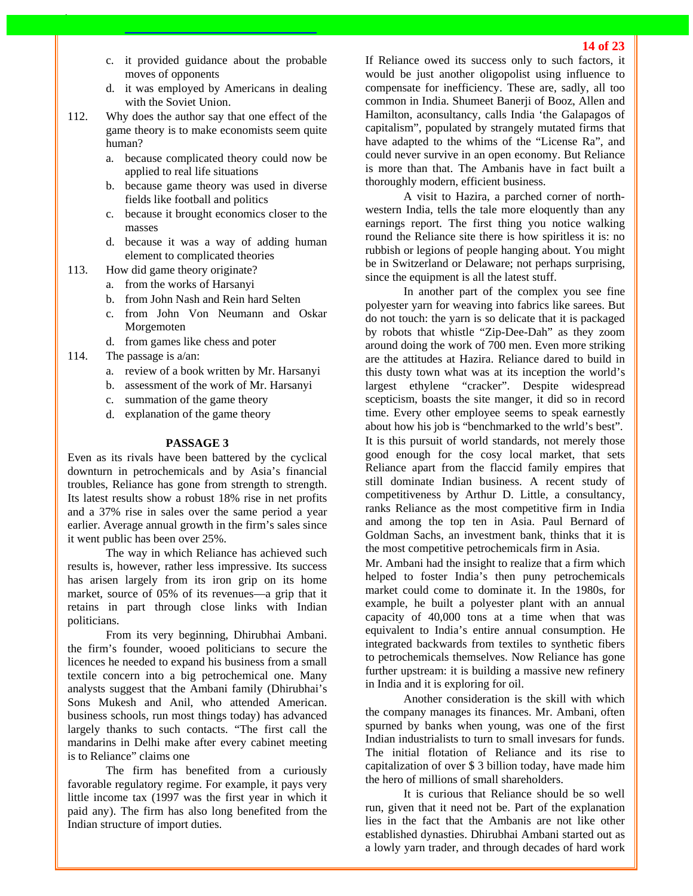- c. it provided guidance about the probable moves of opponents
- d. it was employed by Americans in dealing with the Soviet Union.
- 112. Why does the author say that one effect of the game theory is to make economists seem quite human?
	- a. because complicated theory could now be applied to real life situations
	- b. because game theory was used in diverse fields like football and politics
	- c. because it brought economics closer to the masses
	- d. because it was a way of adding human element to complicated theories
- 113. How did game theory originate?
	- a. from the works of Harsanyi
	- b. from John Nash and Rein hard Selten
	- c. from John Von Neumann and Oskar Morgemoten
	- d. from games like chess and poter
- 114. The passage is a/an:
	- a. review of a book written by Mr. Harsanyi
	- b. assessment of the work of Mr. Harsanyi
	- c. summation of the game theory
	- d. explanation of the game theory

#### **PASSAGE 3**

Even as its rivals have been battered by the cyclical downturn in petrochemicals and by Asia's financial troubles, Reliance has gone from strength to strength. Its latest results show a robust 18% rise in net profits and a 37% rise in sales over the same period a year earlier. Average annual growth in the firm's sales since it went public has been over 25%.

The way in which Reliance has achieved such results is, however, rather less impressive. Its success has arisen largely from its iron grip on its home market, source of 05% of its revenues—a grip that it retains in part through close links with Indian politicians.

From its very beginning, Dhirubhai Ambani. the firm's founder, wooed politicians to secure the licences he needed to expand his business from a small textile concern into a big petrochemical one. Many analysts suggest that the Ambani family (Dhirubhai's Sons Mukesh and Anil, who attended American. business schools, run most things today) has advanced largely thanks to such contacts. "The first call the mandarins in Delhi make after every cabinet meeting is to Reliance" claims one

The firm has benefited from a curiously favorable regulatory regime. For example, it pays very little income tax (1997 was the first year in which it paid any). The firm has also long benefited from the Indian structure of import duties.

If Reliance owed its success only to such factors, it would be just another oligopolist using influence to compensate for inefficiency. These are, sadly, all too common in India. Shumeet Banerji of Booz, Allen and Hamilton, aconsultancy, calls India 'the Galapagos of capitalism", populated by strangely mutated firms that have adapted to the whims of the "License Ra", and could never survive in an open economy. But Reliance is more than that. The Ambanis have in fact built a thoroughly modern, efficient business.

A visit to Hazira, a parched corner of northwestern India, tells the tale more eloquently than any earnings report. The first thing you notice walking round the Reliance site there is how spiritless it is: no rubbish or legions of people hanging about. You might be in Switzerland or Delaware; not perhaps surprising, since the equipment is all the latest stuff.

In another part of the complex you see fine polyester yarn for weaving into fabrics like sarees. But do not touch: the yarn is so delicate that it is packaged by robots that whistle "Zip-Dee-Dah" as they zoom around doing the work of 700 men. Even more striking are the attitudes at Hazira. Reliance dared to build in this dusty town what was at its inception the world's largest ethylene "cracker". Despite widespread scepticism, boasts the site manger, it did so in record time. Every other employee seems to speak earnestly about how his job is "benchmarked to the wrld's best". It is this pursuit of world standards, not merely those good enough for the cosy local market, that sets Reliance apart from the flaccid family empires that still dominate Indian business. A recent study of competitiveness by Arthur D. Little, a consultancy, ranks Reliance as the most competitive firm in India and among the top ten in Asia. Paul Bernard of Goldman Sachs, an investment bank, thinks that it is the most competitive petrochemicals firm in Asia.

Mr. Ambani had the insight to realize that a firm which helped to foster India's then puny petrochemicals market could come to dominate it. In the 1980s, for example, he built a polyester plant with an annual capacity of 40,000 tons at a time when that was equivalent to India's entire annual consumption. He integrated backwards from textiles to synthetic fibers to petrochemicals themselves. Now Reliance has gone further upstream: it is building a massive new refinery in India and it is exploring for oil.

Another consideration is the skill with which the company manages its finances. Mr. Ambani, often spurned by banks when young, was one of the first Indian industrialists to turn to small invesars for funds. The initial flotation of Reliance and its rise to capitalization of over \$ 3 billion today, have made him the hero of millions of small shareholders.

It is curious that Reliance should be so well run, given that it need not be. Part of the explanation lies in the fact that the Ambanis are not like other established dynasties. Dhirubhai Ambani started out as a lowly yarn trader, and through decades of hard work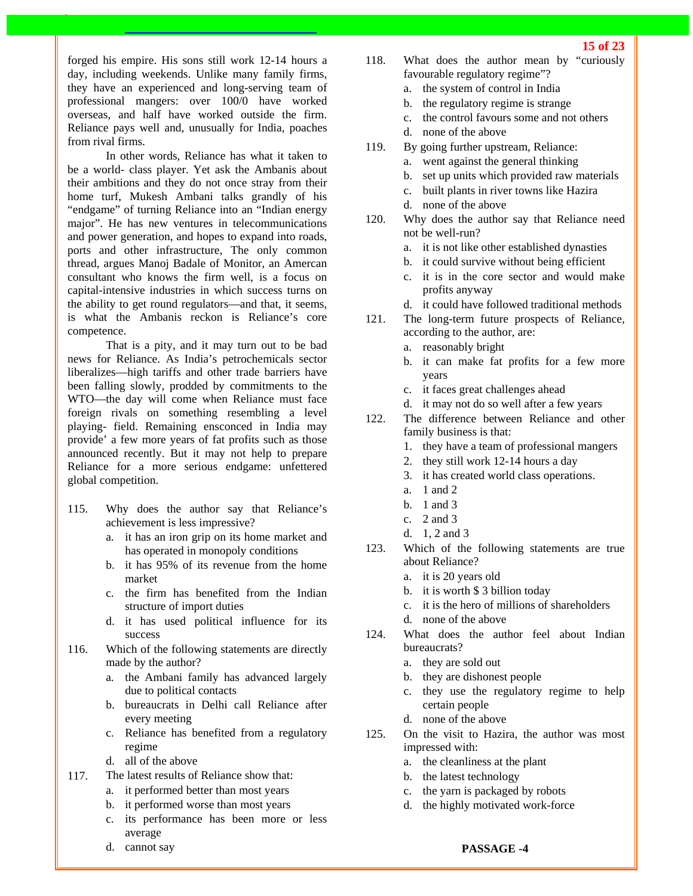forged his empire. His sons still work 12-14 hours a day, including weekends. Unlike many family firms, they have an experienced and long-serving team of professional mangers: over 100/0 have worked overseas, and half have worked outside the firm. Reliance pays well and, unusually for India, poaches from rival firms.

In other words, Reliance has what it taken to be a world- class player. Yet ask the Ambanis about their ambitions and they do not once stray from their home turf, Mukesh Ambani talks grandly of his "endgame" of turning Reliance into an "Indian energy major". He has new ventures in telecommunications and power generation, and hopes to expand into roads, ports and other infrastructure, The only common thread, argues Manoj Badale of Monitor, an Amercan consultant who knows the firm well, is a focus on capital-intensive industries in which success turns on the ability to get round regulators—and that, it seems, is what the Ambanis reckon is Reliance's core competence.

That is a pity, and it may turn out to be bad news for Reliance. As India's petrochemicals sector liberalizes—high tariffs and other trade barriers have been falling slowly, prodded by commitments to the WTO—the day will come when Reliance must face foreign rivals on something resembling a level playing- field. Remaining ensconced in India may provide' a few more years of fat profits such as those announced recently. But it may not help to prepare Reliance for a more serious endgame: unfettered global competition.

- 115. Why does the author say that Reliance's achievement is less impressive?
	- a. it has an iron grip on its home market and has operated in monopoly conditions
	- b. it has 95% of its revenue from the home market
	- c. the firm has benefited from the Indian structure of import duties
	- d. it has used political influence for its success
- 116. Which of the following statements are directly made by the author?
	- a. the Ambani family has advanced largely due to political contacts
	- b. bureaucrats in Delhi call Reliance after every meeting
	- c. Reliance has benefited from a regulatory regime
	- d. all of the above
- 117. The latest results of Reliance show that:
	- a. it performed better than most years
	- b. it performed worse than most years
	- c. its performance has been more or less average
	- d. cannot say
- 118. What does the author mean by "curiously favourable regulatory regime"?
	- a. the system of control in India
	- b. the regulatory regime is strange
	- c. the control favours some and not others
	- d. none of the above
- 119. By going further upstream, Reliance:
	- a. went against the general thinking
	- b. set up units which provided raw materials
	- c. built plants in river towns like Hazira
	- d. none of the above
- 120. Why does the author say that Reliance need not be well-run?
	- a. it is not like other established dynasties
	- b. it could survive without being efficient
	- c. it is in the core sector and would make profits anyway
	- d. it could have followed traditional methods
- 121. The long-term future prospects of Reliance, according to the author, are:
	- a. reasonably bright
	- b. it can make fat profits for a few more years
	- c. it faces great challenges ahead
	- d. it may not do so well after a few years
- 122. The difference between Reliance and other family business is that:
	- 1. they have a team of professional mangers
	- 2. they still work 12-14 hours a day
	- 3. it has created world class operations.
	- a. 1 and 2
	- b. 1 and 3
	- c. 2 and 3
	- d. 1, 2 and 3
- 123. Which of the following statements are true about Reliance?
	- a. it is 20 years old
	- b. it is worth \$ 3 billion today
	- c. it is the hero of millions of shareholders
	- d. none of the above
- 124. What does the author feel about Indian bureaucrats?
	- a. they are sold out
	- b. they are dishonest people
	- c. they use the regulatory regime to help certain people
	- d. none of the above
- 125. On the visit to Hazira, the author was most impressed with:
	- a. the cleanliness at the plant
	- b. the latest technology
	- c. the yarn is packaged by robots
	- d. the highly motivated work-force

## **15 of 23**

# **PASSAGE -4**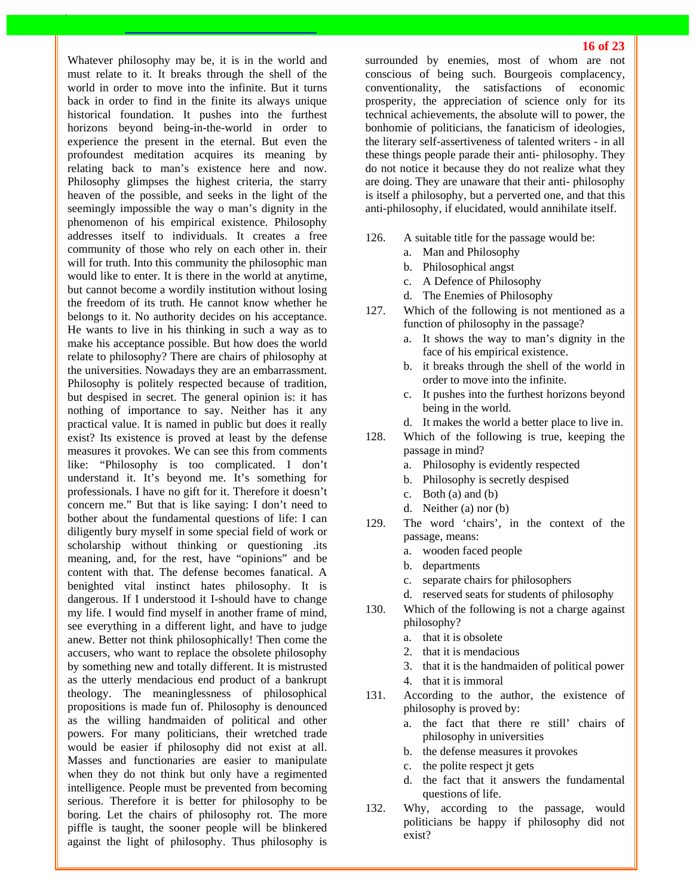Whatever philosophy may be, it is in the world and must relate to it. It breaks through the shell of the world in order to move into the infinite. But it turns back in order to find in the finite its always unique historical foundation. It pushes into the furthest horizons beyond being-in-the-world in order to experience the present in the eternal. But even the profoundest meditation acquires its meaning by relating back to man's existence here and now. Philosophy glimpses the highest criteria, the starry heaven of the possible, and seeks in the light of the seemingly impossible the way o man's dignity in the phenomenon of his empirical existence. Philosophy addresses itself to individuals. It creates a free community of those who rely on each other in. their will for truth. Into this community the philosophic man would like to enter. It is there in the world at anytime, but cannot become a wordily institution without losing the freedom of its truth. He cannot know whether he belongs to it. No authority decides on his acceptance. He wants to live in his thinking in such a way as to make his acceptance possible. But how does the world relate to philosophy? There are chairs of philosophy at the universities. Nowadays they are an embarrassment. Philosophy is politely respected because of tradition, but despised in secret. The general opinion is: it has nothing of importance to say. Neither has it any practical value. It is named in public but does it really exist? Its existence is proved at least by the defense measures it provokes. We can see this from comments like: "Philosophy is too complicated. I don't understand it. It's beyond me. It's something for professionals. I have no gift for it. Therefore it doesn't concern me." But that is like saying: I don't need to bother about the fundamental questions of life: I can diligently bury myself in some special field of work or scholarship without thinking or questioning .its meaning, and, for the rest, have "opinions" and be content with that. The defense becomes fanatical. A benighted vital instinct hates philosophy. It is dangerous. If I understood it I-should have to change my life. I would find myself in another frame of mind, see everything in a different light, and have to judge anew. Better not think philosophically! Then come the accusers, who want to replace the obsolete philosophy by something new and totally different. It is mistrusted as the utterly mendacious end product of a bankrupt theology. The meaninglessness of philosophical propositions is made fun of. Philosophy is denounced as the willing handmaiden of political and other powers. For many politicians, their wretched trade would be easier if philosophy did not exist at all. Masses and functionaries are easier to manipulate when they do not think but only have a regimented intelligence. People must be prevented from becoming serious. Therefore it is better for philosophy to be boring. Let the chairs of philosophy rot. The more piffle is taught, the sooner people will be blinkered against the light of philosophy. Thus philosophy is surrounded by enemies, most of whom are not conscious of being such. Bourgeois complacency, conventionality, the satisfactions of economic prosperity, the appreciation of science only for its technical achievements, the absolute will to power, the bonhomie of politicians, the fanaticism of ideologies, the literary self-assertiveness of talented writers - in all these things people parade their anti- philosophy. They do not notice it because they do not realize what they are doing. They are unaware that their anti- philosophy is itself a philosophy, but a perverted one, and that this anti-philosophy, if elucidated, would annihilate itself.

- 126. A suitable title for the passage would be:
	- a. Man and Philosophy
	- b. Philosophical angst
	- c. A Defence of Philosophy
	- d. The Enemies of Philosophy
- 127. Which of the following is not mentioned as a function of philosophy in the passage?
	- a. It shows the way to man's dignity in the face of his empirical existence.
	- b. it breaks through the shell of the world in order to move into the infinite.
	- c. It pushes into the furthest horizons beyond being in the world.
	- d. It makes the world a better place to live in.
- 128. Which of the following is true, keeping the passage in mind?
	- a. Philosophy is evidently respected
	- b. Philosophy is secretly despised
	- c. Both (a) and (b)
	- d. Neither (a) nor (b)
- 129. The word 'chairs', in the context of the passage, means:
	- a. wooden faced people
	- b. departments
	- c. separate chairs for philosophers
	- d. reserved seats for students of philosophy
- 130. Which of the following is not a charge against philosophy?
	- a. that it is obsolete
	- 2. that it is mendacious
	- 3. that it is the handmaiden of political power
	- 4. that it is immoral
- 131. According to the author, the existence of philosophy is proved by:
	- a. the fact that there re still' chairs of philosophy in universities
	- b. the defense measures it provokes
	- c. the polite respect jt gets
	- d. the fact that it answers the fundamental questions of life.
- 132. Why, according to the passage, would politicians be happy if philosophy did not exist?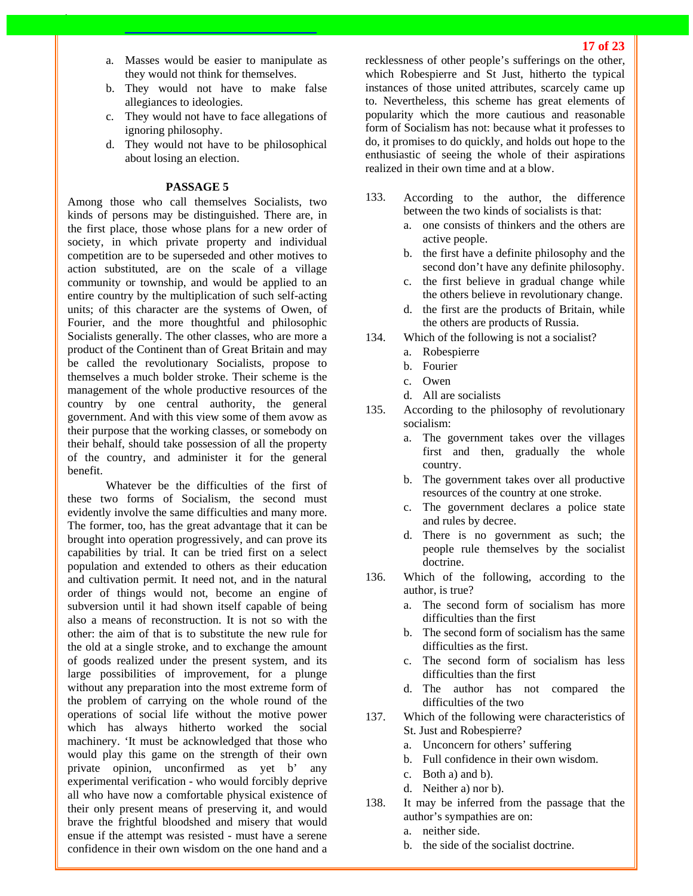- a. Masses would be easier to manipulate as they would not think for themselves.
- b. They would not have to make false allegiances to ideologies.
- c. They would not have to face allegations of ignoring philosophy.
- d. They would not have to be philosophical about losing an election.

#### **PASSAGE 5**

Among those who call themselves Socialists, two kinds of persons may be distinguished. There are, in the first place, those whose plans for a new order of society, in which private property and individual competition are to be superseded and other motives to action substituted, are on the scale of a village community or township, and would be applied to an entire country by the multiplication of such self-acting units; of this character are the systems of Owen, of Fourier, and the more thoughtful and philosophic Socialists generally. The other classes, who are more a product of the Continent than of Great Britain and may be called the revolutionary Socialists, propose to themselves a much bolder stroke. Their scheme is the management of the whole productive resources of the country by one central authority, the general government. And with this view some of them avow as their purpose that the working classes, or somebody on their behalf, should take possession of all the property of the country, and administer it for the general benefit.

Whatever be the difficulties of the first of these two forms of Socialism, the second must evidently involve the same difficulties and many more. The former, too, has the great advantage that it can be brought into operation progressively, and can prove its capabilities by trial. It can be tried first on a select population and extended to others as their education and cultivation permit. It need not, and in the natural order of things would not, become an engine of subversion until it had shown itself capable of being also a means of reconstruction. It is not so with the other: the aim of that is to substitute the new rule for the old at a single stroke, and to exchange the amount of goods realized under the present system, and its large possibilities of improvement, for a plunge without any preparation into the most extreme form of the problem of carrying on the whole round of the operations of social life without the motive power which has always hitherto worked the social machinery. 'It must be acknowledged that those who would play this game on the strength of their own private opinion, unconfirmed as yet b' any experimental verification - who would forcibly deprive all who have now a comfortable physical existence of their only present means of preserving it, and would brave the frightful bloodshed and misery that would ensue if the attempt was resisted - must have a serene confidence in their own wisdom on the one hand and a recklessness of other people's sufferings on the other, which Robespierre and St Just, hitherto the typical instances of those united attributes, scarcely came up to. Nevertheless, this scheme has great elements of popularity which the more cautious and reasonable form of Socialism has not: because what it professes to do, it promises to do quickly, and holds out hope to the enthusiastic of seeing the whole of their aspirations realized in their own time and at a blow.

- 133. According to the author, the difference between the two kinds of socialists is that:
	- a. one consists of thinkers and the others are active people.
	- b. the first have a definite philosophy and the second don't have any definite philosophy.
	- c. the first believe in gradual change while the others believe in revolutionary change.
	- d. the first are the products of Britain, while the others are products of Russia.
- 134. Which of the following is not a socialist?
	- a. Robespierre
	- b. Fourier
	- c. Owen
	- d. All are socialists
- 135. According to the philosophy of revolutionary socialism:
	- a. The government takes over the villages first and then, gradually the whole country.
	- b. The government takes over all productive resources of the country at one stroke.
	- c. The government declares a police state and rules by decree.
	- d. There is no government as such; the people rule themselves by the socialist doctrine.
- 136. Which of the following, according to the author, is true?
	- a. The second form of socialism has more difficulties than the first
	- b. The second form of socialism has the same difficulties as the first.
	- c. The second form of socialism has less difficulties than the first
	- d. The author has not compared the difficulties of the two
- 137. Which of the following were characteristics of St. Just and Robespierre?
	- a. Unconcern for others' suffering
	- b. Full confidence in their own wisdom.
	- c. Both a) and b).
	- d. Neither a) nor b).
- 138. It may be inferred from the passage that the author's sympathies are on:
	- a. neither side.
	- b. the side of the socialist doctrine.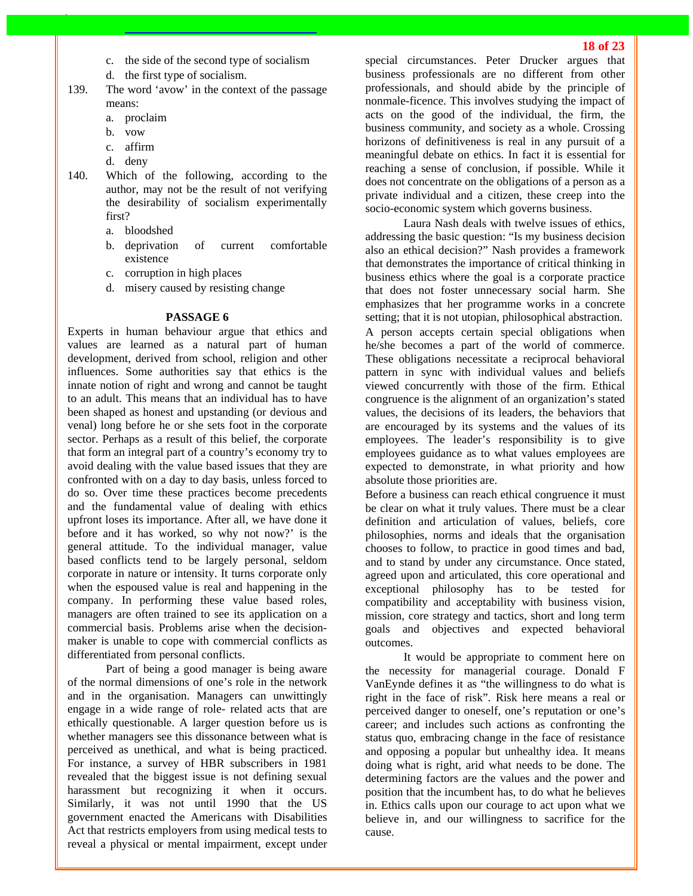- c. the side of the second type of socialism
- d. the first type of socialism.
- 139. The word 'avow' in the context of the passage means:
	- a. proclaim
	- b. vow
	- c. affirm
	- d. deny
- 140. Which of the following, according to the author, may not be the result of not verifying the desirability of socialism experimentally first?
	- a. bloodshed
	- b. deprivation of current comfortable existence
	- c. corruption in high places
	- d. misery caused by resisting change

#### **PASSAGE 6**

Experts in human behaviour argue that ethics and values are learned as a natural part of human development, derived from school, religion and other influences. Some authorities say that ethics is the innate notion of right and wrong and cannot be taught to an adult. This means that an individual has to have been shaped as honest and upstanding (or devious and venal) long before he or she sets foot in the corporate sector. Perhaps as a result of this belief, the corporate that form an integral part of a country's economy try to avoid dealing with the value based issues that they are confronted with on a day to day basis, unless forced to do so. Over time these practices become precedents and the fundamental value of dealing with ethics upfront loses its importance. After all, we have done it before and it has worked, so why not now?' is the general attitude. To the individual manager, value based conflicts tend to be largely personal, seldom corporate in nature or intensity. It turns corporate only when the espoused value is real and happening in the company. In performing these value based roles, managers are often trained to see its application on a commercial basis. Problems arise when the decisionmaker is unable to cope with commercial conflicts as differentiated from personal conflicts.

Part of being a good manager is being aware of the normal dimensions of one's role in the network and in the organisation. Managers can unwittingly engage in a wide range of role- related acts that are ethically questionable. A larger question before us is whether managers see this dissonance between what is perceived as unethical, and what is being practiced. For instance, a survey of HBR subscribers in 1981 revealed that the biggest issue is not defining sexual harassment but recognizing it when it occurs. Similarly, it was not until 1990 that the US government enacted the Americans with Disabilities Act that restricts employers from using medical tests to reveal a physical or mental impairment, except under special circumstances. Peter Drucker argues that business professionals are no different from other professionals, and should abide by the principle of nonmale-ficence. This involves studying the impact of acts on the good of the individual, the firm, the business community, and society as a whole. Crossing horizons of definitiveness is real in any pursuit of a meaningful debate on ethics. In fact it is essential for reaching a sense of conclusion, if possible. While it does not concentrate on the obligations of a person as a private individual and a citizen, these creep into the socio-economic system which governs business.

Laura Nash deals with twelve issues of ethics, addressing the basic question: "Is my business decision also an ethical decision?" Nash provides a framework that demonstrates the importance of critical thinking in business ethics where the goal is a corporate practice that does not foster unnecessary social harm. She emphasizes that her programme works in a concrete setting; that it is not utopian, philosophical abstraction. A person accepts certain special obligations when he/she becomes a part of the world of commerce. These obligations necessitate a reciprocal behavioral pattern in sync with individual values and beliefs viewed concurrently with those of the firm. Ethical congruence is the alignment of an organization's stated values, the decisions of its leaders, the behaviors that are encouraged by its systems and the values of its employees. The leader's responsibility is to give employees guidance as to what values employees are expected to demonstrate, in what priority and how absolute those priorities are.

Before a business can reach ethical congruence it must be clear on what it truly values. There must be a clear definition and articulation of values, beliefs, core philosophies, norms and ideals that the organisation chooses to follow, to practice in good times and bad, and to stand by under any circumstance. Once stated, agreed upon and articulated, this core operational and exceptional philosophy has to be tested for compatibility and acceptability with business vision, mission, core strategy and tactics, short and long term goals and objectives and expected behavioral outcomes.

It would be appropriate to comment here on the necessity for managerial courage. Donald F VanEynde defines it as "the willingness to do what is right in the face of risk". Risk here means a real or perceived danger to oneself, one's reputation or one's career; and includes such actions as confronting the status quo, embracing change in the face of resistance and opposing a popular but unhealthy idea. It means doing what is right, arid what needs to be done. The determining factors are the values and the power and position that the incumbent has, to do what he believes in. Ethics calls upon our courage to act upon what we believe in, and our willingness to sacrifice for the cause.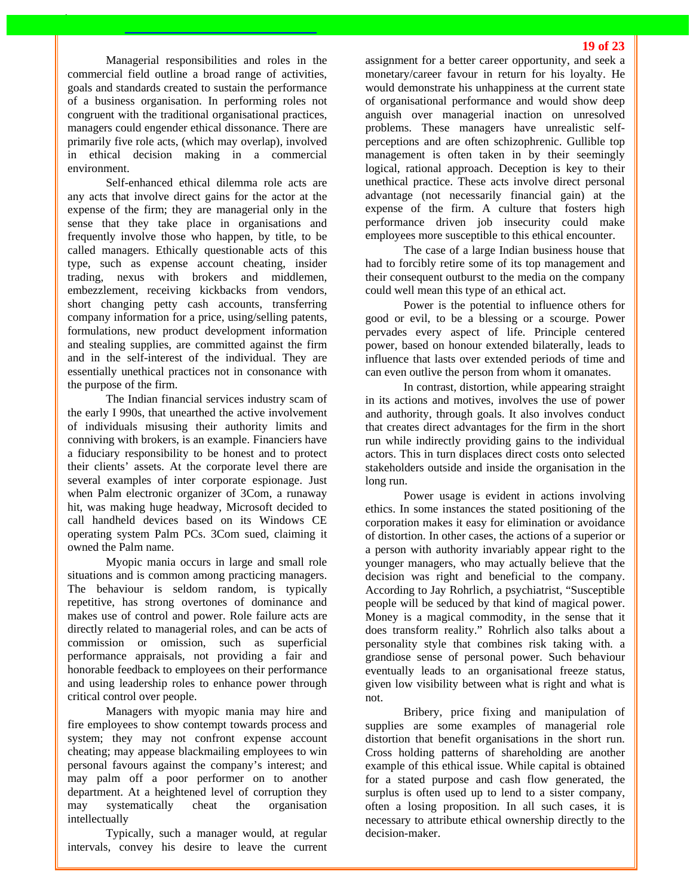Managerial responsibilities and roles in the commercial field outline a broad range of activities, goals and standards created to sustain the performance of a business organisation. In performing roles not congruent with the traditional organisational practices, managers could engender ethical dissonance. There are primarily five role acts, (which may overlap), involved in ethical decision making in a commercial environment.

Self-enhanced ethical dilemma role acts are any acts that involve direct gains for the actor at the expense of the firm; they are managerial only in the sense that they take place in organisations and frequently involve those who happen, by title, to be called managers. Ethically questionable acts of this type, such as expense account cheating, insider trading, nexus with brokers and middlemen, embezzlement, receiving kickbacks from vendors, short changing petty cash accounts, transferring company information for a price, using/selling patents, formulations, new product development information and stealing supplies, are committed against the firm and in the self-interest of the individual. They are essentially unethical practices not in consonance with the purpose of the firm.

The Indian financial services industry scam of the early I 990s, that unearthed the active involvement of individuals misusing their authority limits and conniving with brokers, is an example. Financiers have a fiduciary responsibility to be honest and to protect their clients' assets. At the corporate level there are several examples of inter corporate espionage. Just when Palm electronic organizer of 3Com, a runaway hit, was making huge headway, Microsoft decided to call handheld devices based on its Windows CE operating system Palm PCs. 3Com sued, claiming it owned the Palm name.

Myopic mania occurs in large and small role situations and is common among practicing managers. The behaviour is seldom random, is typically repetitive, has strong overtones of dominance and makes use of control and power. Role failure acts are directly related to managerial roles, and can be acts of commission or omission, such as superficial performance appraisals, not providing a fair and honorable feedback to employees on their performance and using leadership roles to enhance power through critical control over people.

Managers with myopic mania may hire and fire employees to show contempt towards process and system; they may not confront expense account cheating; may appease blackmailing employees to win personal favours against the company's interest; and may palm off a poor performer on to another department. At a heightened level of corruption they may systematically cheat the organisation intellectually

Typically, such a manager would, at regular intervals, convey his desire to leave the current assignment for a better career opportunity, and seek a monetary/career favour in return for his loyalty. He would demonstrate his unhappiness at the current state of organisational performance and would show deep anguish over managerial inaction on unresolved problems. These managers have unrealistic selfperceptions and are often schizophrenic. Gullible top management is often taken in by their seemingly logical, rational approach. Deception is key to their unethical practice. These acts involve direct personal advantage (not necessarily financial gain) at the expense of the firm. A culture that fosters high performance driven job insecurity could make employees more susceptible to this ethical encounter.

The case of a large Indian business house that had to forcibly retire some of its top management and their consequent outburst to the media on the company could well mean this type of an ethical act.

Power is the potential to influence others for good or evil, to be a blessing or a scourge. Power pervades every aspect of life. Principle centered power, based on honour extended bilaterally, leads to influence that lasts over extended periods of time and can even outlive the person from whom it omanates.

In contrast, distortion, while appearing straight in its actions and motives, involves the use of power and authority, through goals. It also involves conduct that creates direct advantages for the firm in the short run while indirectly providing gains to the individual actors. This in turn displaces direct costs onto selected stakeholders outside and inside the organisation in the long run.

Power usage is evident in actions involving ethics. In some instances the stated positioning of the corporation makes it easy for elimination or avoidance of distortion. In other cases, the actions of a superior or a person with authority invariably appear right to the younger managers, who may actually believe that the decision was right and beneficial to the company. According to Jay Rohrlich, a psychiatrist, "Susceptible people will be seduced by that kind of magical power. Money is a magical commodity, in the sense that it does transform reality." Rohrlich also talks about a personality style that combines risk taking with. a grandiose sense of personal power. Such behaviour eventually leads to an organisational freeze status, given low visibility between what is right and what is not.

Bribery, price fixing and manipulation of supplies are some examples of managerial role distortion that benefit organisations in the short run. Cross holding patterns of shareholding are another example of this ethical issue. While capital is obtained for a stated purpose and cash flow generated, the surplus is often used up to lend to a sister company, often a losing proposition. In all such cases, it is necessary to attribute ethical ownership directly to the decision-maker.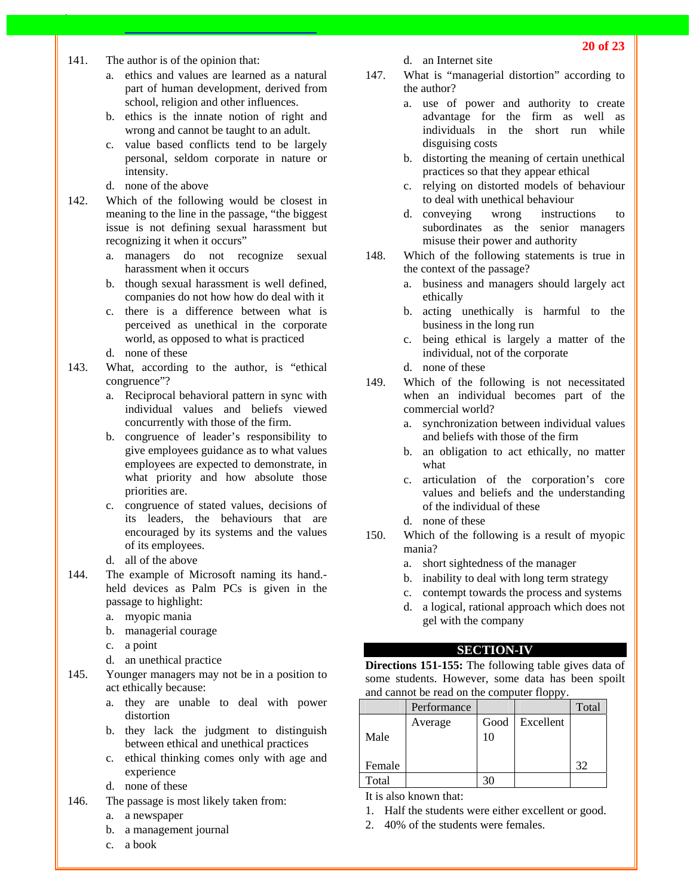- 141. The author is of the opinion that:
	- a. ethics and values are learned as a natural part of human development, derived from school, religion and other influences.
	- b. ethics is the innate notion of right and wrong and cannot be taught to an adult.
	- c. value based conflicts tend to be largely personal, seldom corporate in nature or intensity.
	- d. none of the above
- 142. Which of the following would be closest in meaning to the line in the passage, "the biggest issue is not defining sexual harassment but recognizing it when it occurs"
	- a. managers do not recognize sexual harassment when it occurs
	- b. though sexual harassment is well defined, companies do not how how do deal with it
	- c. there is a difference between what is perceived as unethical in the corporate world, as opposed to what is practiced
	- d. none of these
- 143. What, according to the author, is "ethical congruence"?
	- a. Reciprocal behavioral pattern in sync with individual values and beliefs viewed concurrently with those of the firm.
	- b. congruence of leader's responsibility to give employees guidance as to what values employees are expected to demonstrate, in what priority and how absolute those priorities are.
	- c. congruence of stated values, decisions of its leaders, the behaviours that are encouraged by its systems and the values of its employees.
	- d. all of the above
- 144. The example of Microsoft naming its hand. held devices as Palm PCs is given in the passage to highlight:
	- a. myopic mania
	- b. managerial courage
	- c. a point
	- d. an unethical practice
- 145. Younger managers may not be in a position to act ethically because:
	- a. they are unable to deal with power distortion
	- b. they lack the judgment to distinguish between ethical and unethical practices
	- c. ethical thinking comes only with age and experience
	- d. none of these
- 146. The passage is most likely taken from:
	- a. a newspaper
	- b. a management journal
	- c. a book
- d. an Internet site
- 147. What is "managerial distortion" according to the author?
	- a. use of power and authority to create advantage for the firm as well as individuals in the short run while disguising costs
	- b. distorting the meaning of certain unethical practices so that they appear ethical
	- c. relying on distorted models of behaviour to deal with unethical behaviour
	- d. conveying wrong instructions to subordinates as the senior managers misuse their power and authority
- 148. Which of the following statements is true in the context of the passage?
	- a. business and managers should largely act ethically
	- b. acting unethically is harmful to the business in the long run
	- c. being ethical is largely a matter of the individual, not of the corporate
	- d. none of these
- 149. Which of the following is not necessitated when an individual becomes part of the commercial world?
	- a. synchronization between individual values and beliefs with those of the firm
	- b. an obligation to act ethically, no matter what
	- c. articulation of the corporation's core values and beliefs and the understanding of the individual of these
	- d. none of these
- 150. Which of the following is a result of myopic mania?
	- a. short sightedness of the manager
	- b. inability to deal with long term strategy
	- c. contempt towards the process and systems
	- d. a logical, rational approach which does not gel with the company

## **SECTION-IV**

**Directions 151-155:** The following table gives data of some students. However, some data has been spoilt and cannot be read on the computer floppy.

|        | Performance |      |           | Total |
|--------|-------------|------|-----------|-------|
|        | Average     | Good | Excellent |       |
| Male   |             | 10   |           |       |
|        |             |      |           |       |
| Female |             |      |           | 32    |
| Total  |             |      |           |       |

It is also known that:

- 1. Half the students were either excellent or good.
- 2. 40% of the students were females.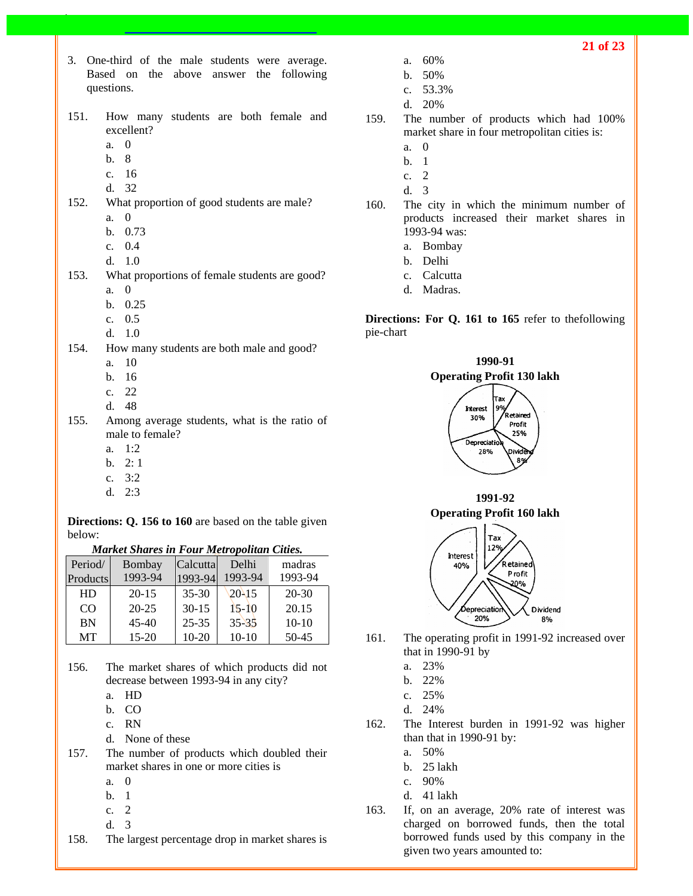- 3. One-third of the male students were average. Based on the above answer the following questions.
- 151. How many students are both female and excellent?
	- a. 0
	- b. 8
	- c. 16
	- d. 32
- 152. What proportion of good students are male? a. 0
	- b. 0.73
	- c. 0.4
	- d. 1.0
- 153. What proportions of female students are good? a. 0
	- b. 0.25
	- c. 0.5
	- d. 1.0
- 154. How many students are both male and good?
	- a. 10
	- b. 16
	- c. 22
	- d. 48
- 155. Among average students, what is the ratio of male to female?
	- a. 1:2
	- b. 2: 1
	- c. 3:2
	- d. 2:3

**Directions: Q. 156 to 160** are based on the table given below:

*Market Shares in Four Metropolitan Cities.* 

| Period/   | Bombay    | Calcutta  | Delhi         | madras    |
|-----------|-----------|-----------|---------------|-----------|
| Products  | 1993-94   | 1993-94   | 1993-94       | 1993-94   |
| HD        | $20 - 15$ | $35 - 30$ | $20\sqrt{15}$ | $20 - 30$ |
| CO        | $20 - 25$ | $30 - 15$ | $15-10$       | 20.15     |
| <b>BN</b> | $45 - 40$ | $25 - 35$ | $35 - 35$     | $10-10$   |
| MT        | $15-20$   | 10-20     | $10-10$       | 50-45     |

- 156. The market shares of which products did not decrease between 1993-94 in any city?
	- a. HD
	- b. CO
	- c. RN
	- d. None of these
- 157. The number of products which doubled their market shares in one or more cities is
	- a. 0
	- b. 1
	- c. 2
	- d. 3
- 158. The largest percentage drop in market shares is
- a. 60%
- b. 50%
- c. 53.3%
- d. 20%
- 159. The number of products which had 100% market share in four metropolitan cities is:
	- a. 0
	- b. 1
	- c. 2
	- d. 3
- 160. The city in which the minimum number of products increased their market shares in 1993-94 was:
	- a. Bombay
	- b. Delhi
	- c. Calcutta
	- d. Madras.

**Directions: For Q. 161 to 165** refer to thefollowing pie-chart



**1991-92 Operating Profit 160 lakh** 



- 161. The operating profit in 1991-92 increased over that in 1990-91 by
	- a. 23%
	- b. 22%
	- c. 25%
	- d. 24%
- 162. The Interest burden in 1991-92 was higher than that in 1990-91 by:
	- a. 50%
	- b. 25 lakh
	- c. 90%
	- d. 41 lakh
- 163. If, on an average, 20% rate of interest was charged on borrowed funds, then the total borrowed funds used by this company in the given two years amounted to: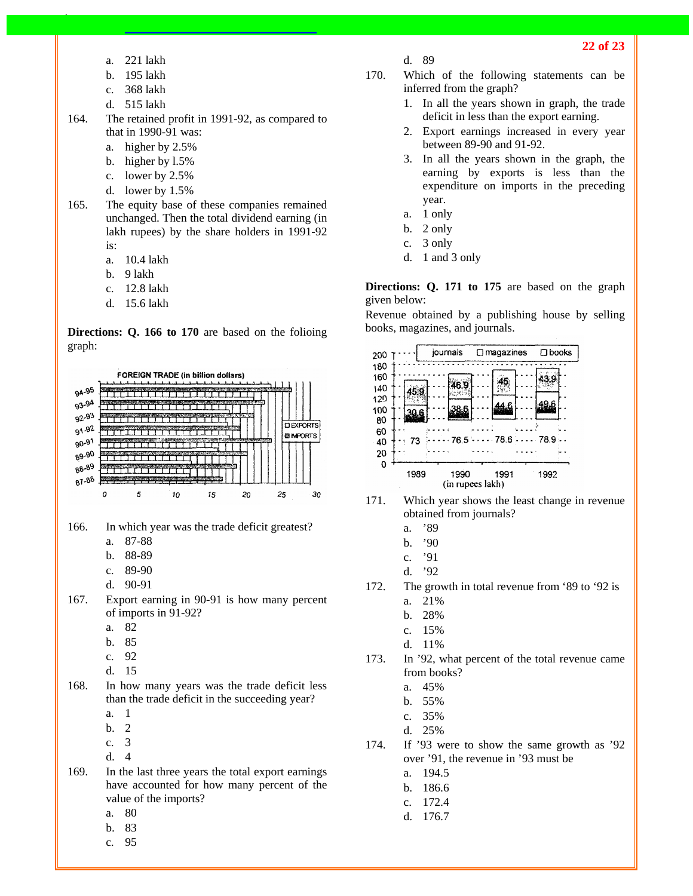- a. 221 lakh
- b. 195 lakh
- c. 368 lakh
- d. 515 lakh
- 164. The retained profit in 1991-92, as compared to that in 1990-91 was:
	- a. higher by 2.5%
	- b. higher by l.5%
	- c. lower by 2.5%
	- d. lower by 1.5%
- 165. The equity base of these companies remained unchanged. Then the total dividend earning (in lakh rupees) by the share holders in 1991-92 is:
	- a. 10.4 lakh
	- b. 9 lakh
	- c. 12.8 lakh
	- d. 15.6 lakh

**Directions: Q. 166 to 170** are based on the folioing graph:



166. In which year was the trade deficit greatest?

- a. 87-88
- b. 88-89
- c. 89-90
- d. 90-91
- 167. Export earning in 90-91 is how many percent of imports in 91-92?
	- a. 82
	- b. 85
	- c. 92
	- d. 15

168. In how many years was the trade deficit less than the trade deficit in the succeeding year?

- a. 1
- b. 2
- c. 3
- d. 4
- 169. In the last three years the total export earnings have accounted for how many percent of the value of the imports?
	- a. 80
	- b. 83
	- c. 95
- d. 89
- 170. Which of the following statements can be inferred from the graph?
	- 1. In all the years shown in graph, the trade deficit in less than the export earning.
	- 2. Export earnings increased in every year between 89-90 and 91-92.
	- 3. In all the years shown in the graph, the earning by exports is less than the expenditure on imports in the preceding year.
	- a. 1 only
	- b. 2 only
	- c. 3 only
	- d. 1 and 3 only

**Directions: Q. 171 to 175** are based on the graph given below:

Revenue obtained by a publishing house by selling books, magazines, and journals.



- 171. Which year shows the least change in revenue obtained from journals?
	- a. '89
	- b. '90
	- c. '91
	- d. '92
- 172. The growth in total revenue from '89 to '92 is
	- a. 21%
	- b. 28%
	- c. 15%
	- d. 11%
- 173. In '92, what percent of the total revenue came from books?
	- a. 45%
	- b. 55%
	- c. 35%
	- d. 25%
- 174. If '93 were to show the same growth as '92 over '91, the revenue in '93 must be
	- a. 194.5
	- b. 186.6
	- c. 172.4
	- d. 176.7